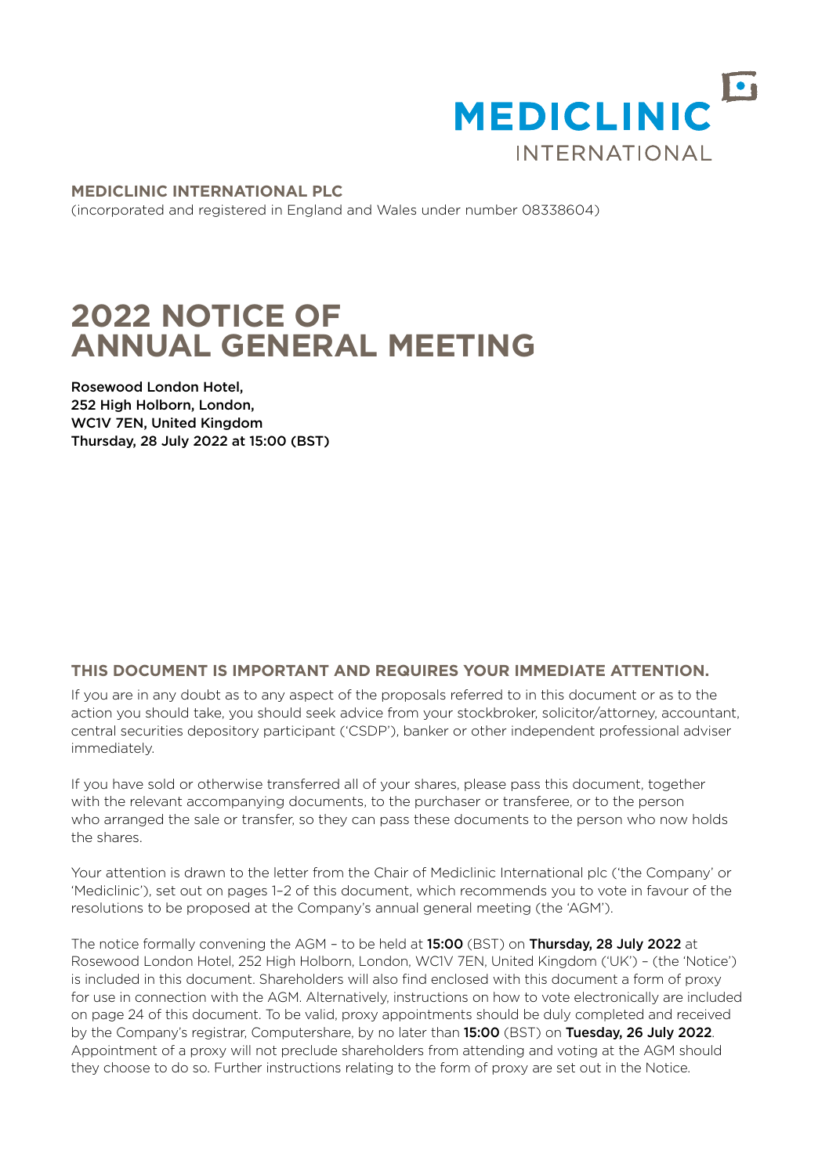

**MEDICLINIC INTERNATIONAL PLC** (incorporated and registered in England and Wales under number 08338604)

# **2022 NOTICE OF ANNUAL GENERAL MEETING**

Rosewood London Hotel, 252 High Holborn, London, WC1V 7EN, United Kingdom Thursday, 28 July 2022 at 15:00 (BST)

# **THIS DOCUMENT IS IMPORTANT AND REQUIRES YOUR IMMEDIATE ATTENTION.**

If you are in any doubt as to any aspect of the proposals referred to in this document or as to the action you should take, you should seek advice from your stockbroker, solicitor/attorney, accountant, central securities depository participant ('CSDP'), banker or other independent professional adviser immediately.

If you have sold or otherwise transferred all of your shares, please pass this document, together with the relevant accompanying documents, to the purchaser or transferee, or to the person who arranged the sale or transfer, so they can pass these documents to the person who now holds the shares.

Your attention is drawn to the letter from the Chair of Mediclinic International plc ('the Company' or 'Mediclinic'), set out on [pages 1–2](#page-1-0) of this document, which recommends you to vote in favour of the resolutions to be proposed at the Company's annual general meeting (the 'AGM').

The notice formally convening the AGM - to be held at 15:00 (BST) on Thursday, 28 July 2022 at Rosewood London Hotel, 252 High Holborn, London, WC1V 7EN, United Kingdom ('UK') – (the 'Notice') is included in this document. Shareholders will also find enclosed with this document a form of proxy for use in connection with the AGM. Alternatively, instructions on how to vote electronically are included on [page 24](#page-13-0) of this document. To be valid, proxy appointments should be duly completed and received by the Company's registrar, Computershare, by no later than 15:00 (BST) on Tuesday, 26 July 2022. Appointment of a proxy will not preclude shareholders from attending and voting at the AGM should they choose to do so. Further instructions relating to the form of proxy are set out in the Notice.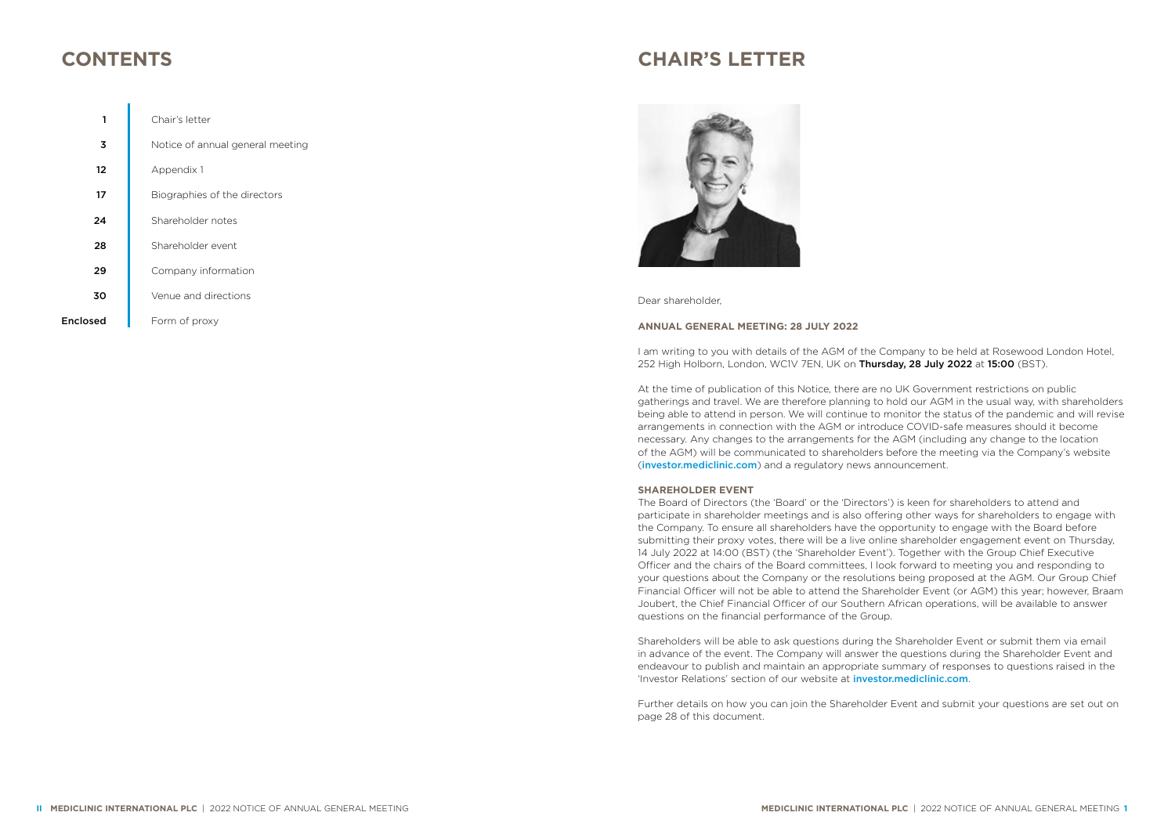# <span id="page-1-0"></span>**CONTENTS**

Encl

| 1    | Chair's letter                   |
|------|----------------------------------|
| 3    | Notice of annual general meeting |
| 12   | Appendix 1                       |
| 17   | Biographies of the directors     |
| 24   | Shareholder notes                |
| 28   | Shareholder event                |
| 29   | Company information              |
| 30   | Venue and directions             |
| osed | Form of proxy                    |

# **CHAIR'S LETTER**



Dear shareholder,

# **ANNUAL GENERAL MEETING: 28 JULY 2022**

I am writing to you with details of the AGM of the Company to be held at Rosewood London Hotel, 252 High Holborn, London, WC1V 7EN, UK on Thursday, 28 July 2022 at 15:00 (BST).

At the time of publication of this Notice, there are no UK Government restrictions on public gatherings and travel. We are therefore planning to hold our AGM in the usual way, with shareholders being able to attend in person. We will continue to monitor the status of the pandemic and will revise arrangements in connection with the AGM or introduce COVID-safe measures should it become necessary. Any changes to the arrangements for the AGM (including any change to the location of the AGM) will be communicated to shareholders before the meeting via the Company's website ([investor.mediclinic.com](https://investor.mediclinic.com)) and a regulatory news announcement.

# **SHAREHOLDER EVENT**

The Board of Directors (the 'Board' or the 'Directors') is keen for shareholders to attend and participate in shareholder meetings and is also offering other ways for shareholders to engage with the Company. To ensure all shareholders have the opportunity to engage with the Board before submitting their proxy votes, there will be a live online shareholder engagement event on Thursday, 14 July 2022 at 14:00 (BST) (the 'Shareholder Event'). Together with the Group Chief Executive Officer and the chairs of the Board committees, I look forward to meeting you and responding to your questions about the Company or the resolutions being proposed at the AGM. Our Group Chief Financial Officer will not be able to attend the Shareholder Event (or AGM) this year; however, Braam Joubert, the Chief Financial Officer of our Southern African operations, will be available to answer questions on the financial performance of the Group.

Shareholders will be able to ask questions during the Shareholder Event or submit them via email in advance of the event. The Company will answer the questions during the Shareholder Event and endeavour to publish and maintain an appropriate summary of responses to questions raised in the 'Investor Relations' section of our website at [investor.mediclinic.com](https://investor.mediclinic.com).

Further details on how you can join the Shareholder Event and submit your questions are set out on [page 28](#page-15-0) of this document.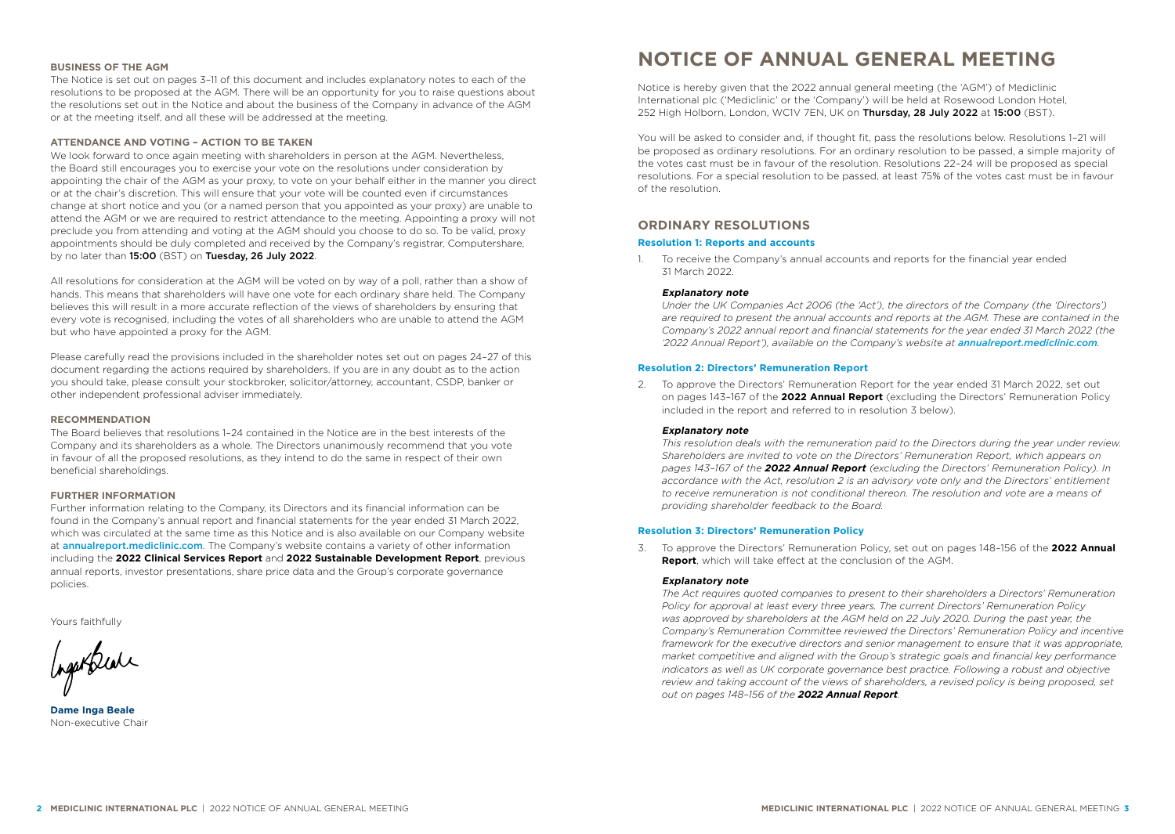### <span id="page-2-0"></span>**BUSINESS OF THE AGM**

The Notice is set out on pages 3–11 of this document and includes explanatory notes to each of the resolutions to be proposed at the AGM. There will be an opportunity for you to raise questions about the resolutions set out in the Notice and about the business of the Company in advance of the AGM or at the meeting itself, and all these will be addressed at the meeting.

# **ATTENDANCE AND VOTING – ACTION TO BE TAKEN**

We look forward to once again meeting with shareholders in person at the AGM. Nevertheless, the Board still encourages you to exercise your vote on the resolutions under consideration by appointing the chair of the AGM as your proxy, to vote on your behalf either in the manner you direct or at the chair's discretion. This will ensure that your vote will be counted even if circumstances change at short notice and you (or a named person that you appointed as your proxy) are unable to attend the AGM or we are required to restrict attendance to the meeting. Appointing a proxy will not preclude you from attending and voting at the AGM should you choose to do so. To be valid, proxy appointments should be duly completed and received by the Company's registrar, Computershare, by no later than 15:00 (BST) on Tuesday, 26 July 2022.

All resolutions for consideration at the AGM will be voted on by way of a poll, rather than a show of hands. This means that shareholders will have one vote for each ordinary share held. The Company believes this will result in a more accurate reflection of the views of shareholders by ensuring that every vote is recognised, including the votes of all shareholders who are unable to attend the AGM but who have appointed a proxy for the AGM.

Please carefully read the provisions included in the shareholder notes set out on [pages 24–27](#page-13-0) of this document regarding the actions required by shareholders. If you are in any doubt as to the action you should take, please consult your stockbroker, solicitor/attorney, accountant, CSDP, banker or other independent professional adviser immediately.

#### **RECOMMENDATION**

The Board believes that resolutions 1–24 contained in the Notice are in the best interests of the Company and its shareholders as a whole. The Directors unanimously recommend that you vote in favour of all the proposed resolutions, as they intend to do the same in respect of their own beneficial shareholdings.

### **FURTHER INFORMATION**

Further information relating to the Company, its Directors and its financial information can be found in the Company's annual report and financial statements for the year ended 31 March 2022, which was circulated at the same time as this Notice and is also available on our Company website at [annualreport.mediclinic.com](https://annualreport.mediclinic.com). The Company's website contains a variety of other information including the **[2022 Clinical Services Report](https://annualreport.mediclinic.com)** and **[2022 Sustainable Development Report](https://investor.mediclinic.com)**, previous annual reports, investor presentations, share price data and the Group's corporate governance policies.

Yours faithfully

Ingertreate

**Dame Inga Beale** Non-executive Chair

# **NOTICE OF ANNUAL GENERAL MEETING**

Notice is hereby given that the 2022 annual general meeting (the 'AGM') of Mediclinic International plc ('Mediclinic' or the 'Company') will be held at Rosewood London Hotel, 252 High Holborn, London, WC1V 7EN, UK on Thursday, 28 July 2022 at 15:00 (BST).

You will be asked to consider and, if thought fit, pass the resolutions below. Resolutions 1-21 will be proposed as ordinary resolutions. For an ordinary resolution to be passed, a simple majority of the votes cast must be in favour of the resolution. Resolutions 22–24 will be proposed as special resolutions. For a special resolution to be passed, at least 75% of the votes cast must be in favour of the resolution.

# **ORDINARY RESOLUTIONS**

# **Resolution 1: Reports and accounts**

1. To receive the Company's annual accounts and reports for the financial year ended 31 March 2022.

### **Explanatory note**

*Under the UK Companies Act 2006 (the 'Act'), the directors of the Company (the 'Directors') are required to present the annual accounts and reports at the AGM. These are contained in the Company's 2022 annual report and financial statements for the year ended 31 March 2022 (the*  '2022 Annual Report'), available on the Company's website at **annualrepor[t.mediclinic.com](https://annualreport.mediclinic.com)**.

### **Resolution 2: Directors' Remuneration Report**

2. To approve the Directors' Remuneration Report for the year ended 31 March 2022, set out on pages 143–167 of the **[2022 Annual Report](https://annualreport.mediclinic.com)** (excluding the Directors' Remuneration Policy included in the report and referred to in resolution 3 below).

#### **Explanatory note**

*This resolution deals with the remuneration paid to the Directors during the year under review. Shareholders are invited to vote on the Directors' Remuneration Report, which appears on pages 143–167 of the [2022 Annual Report](https://annualreport.mediclinic.com) (excluding the Directors' Remuneration Policy). In accordance with the Act, resolution 2 is an advisory vote only and the Directors' entitlement to receive remuneration is not conditional thereon. The resolution and vote are a means of providing shareholder feedback to the Board.*

### **Resolution 3: Directors' Remuneration Policy**

3. To approve the Directors' Remuneration Policy, set out on pages 148–156 of the **[2022 Annual](https://annualreport.mediclinic.com)  [Report](https://annualreport.mediclinic.com)**, which will take effect at the conclusion of the AGM.

### **Explanatory note**

*The Act requires quoted companies to present to their shareholders a Directors' Remuneration Policy for approval at least every three years. The current Directors' Remuneration Policy was approved by shareholders at the AGM held on 22 July 2020. During the past year, the Company's Remuneration Committee reviewed the Directors' Remuneration Policy and incentive framework for the executive directors and senior management to ensure that it was appropriate, market competitive and aligned with the Group's strategic goals and financial key performance indicators as well as UK corporate governance best practice. Following a robust and objective*  review and taking account of the views of shareholders, a revised policy is being proposed, set *out on pages 148–156 of the [2022 Annual Repor](https://annualreport.mediclinic.com)t.*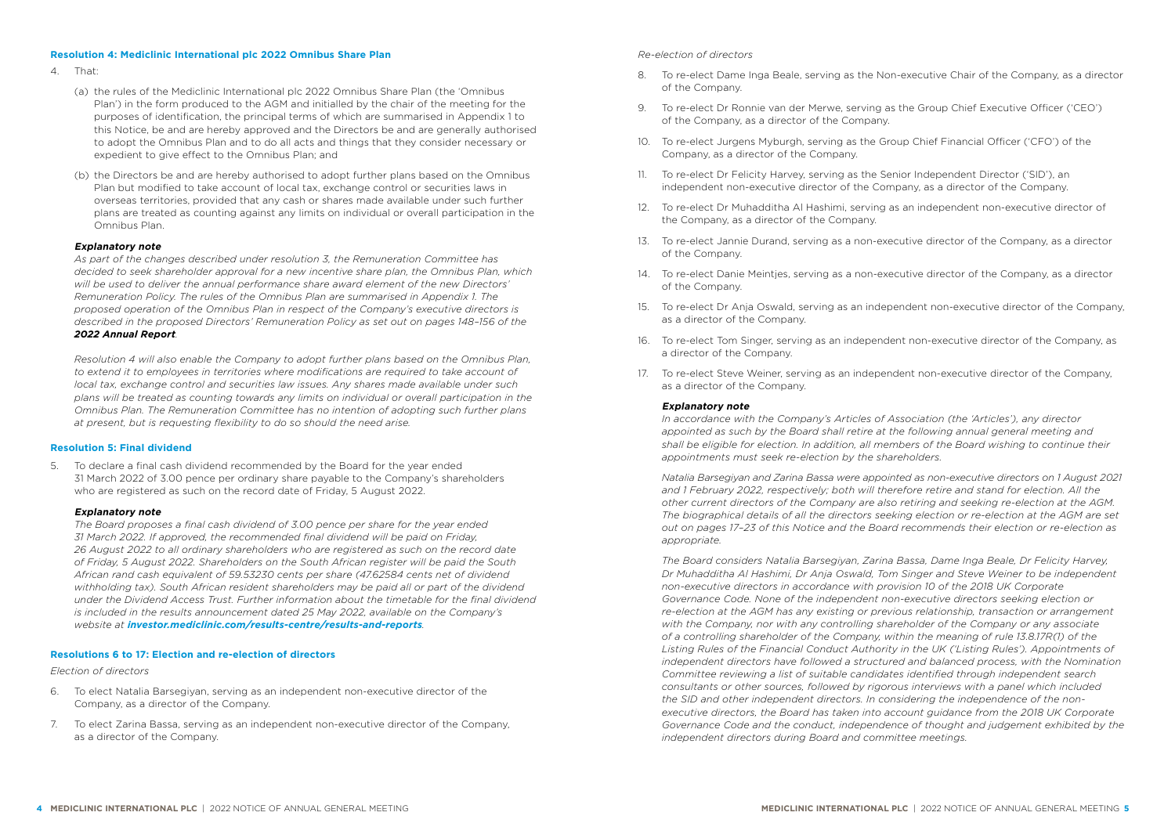### **Resolution 4: Mediclinic International plc 2022 Omnibus Share Plan**

- 4. That:
	- (a) the rules of the Mediclinic International plc 2022 Omnibus Share Plan (the 'Omnibus Plan') in the form produced to the AGM and initialled by the chair of the meeting for the purposes of identification, the principal terms of which are summarised in Appendix 1 to this Notice, be and are hereby approved and the Directors be and are generally authorised to adopt the Omnibus Plan and to do all acts and things that they consider necessary or expedient to give effect to the Omnibus Plan; and
	- (b) the Directors be and are hereby authorised to adopt further plans based on the Omnibus Plan but modified to take account of local tax, exchange control or securities laws in overseas territories, provided that any cash or shares made available under such further plans are treated as counting against any limits on individual or overall participation in the Omnibus Plan.

### **Explanatory note**

*As part of the changes described under resolution 3, the Remuneration Committee has decided to seek shareholder approval for a new incentive share plan, the Omnibus Plan, which will be used to deliver the annual performance share award element of the new Directors' Remuneration Policy. The rules of the Omnibus Plan are summarised in Appendix 1. The proposed operation of the Omnibus Plan in respect of the Company's executive directors is described in the proposed Directors' Remuneration Policy as set out on pages 148–156 of the [2022 Annual Report](https://annualreport.mediclinic.com).*

*Resolution 4 will also enable the Company to adopt further plans based on the Omnibus Plan, to extend it to employees in territories where modifications are required to take account of local tax, exchange control and securities law issues. Any shares made available under such plans will be treated as counting towards any limits on individual or overall participation in the Omnibus Plan. The Remuneration Committee has no intention of adopting such further plans at present, but is requesting flexibility to do so should the need arise.*

### **Resolution 5: Final dividend**

5. To declare a final cash dividend recommended by the Board for the year ended 31 March 2022 of 3.00 pence per ordinary share payable to the Company's shareholders who are registered as such on the record date of Friday, 5 August 2022.

### **Explanatory note**

*The Board proposes a final cash dividend of 3.00 pence per share for the year ended 31 March 2022. If approved, the recommended final dividend will be paid on Friday, 26 August 2022 to all ordinary shareholders who are registered as such on the record date of Friday, 5 August 2022. Shareholders on the South African register will be paid the South African rand cash equivalent of 59.53230 cents per share (47.62584 cents net of dividend withholding tax). South African resident shareholders may be paid all or part of the dividend under the Dividend Access Trust. Further information about the timetable for the final dividend is included in the results announcement dated 25 May 2022, available on the Company's website at [investor.mediclinic.com/results-centre/results-and-reports](https://investor.mediclinic.com/results-centre/results-and-reports).*

# **Resolutions 6 to 17: Election and re-election of directors**

### *Election of directors*

- 6. To elect Natalia Barsegiyan, serving as an independent non-executive director of the Company, as a director of the Company.
- 7. To elect Zarina Bassa, serving as an independent non-executive director of the Company, as a director of the Company.

## *Re-election of directors*

- 8. To re-elect Dame Inga Beale, serving as the Non-executive Chair of the Company, as a director of the Company.
- 9. To re-elect Dr Ronnie van der Merwe, serving as the Group Chief Executive Officer ('CEO') of the Company, as a director of the Company.
- 10. To re-elect Jurgens Myburgh, serving as the Group Chief Financial Officer ('CFO') of the Company, as a director of the Company.
- 11. To re-elect Dr Felicity Harvey, serving as the Senior Independent Director ('SID'), an independent non-executive director of the Company, as a director of the Company.
- 12. To re-elect Dr Muhadditha Al Hashimi, serving as an independent non-executive director of the Company, as a director of the Company.
- 13. To re-elect Jannie Durand, serving as a non-executive director of the Company, as a director of the Company.
- 14. To re-elect Danie Meintjes, serving as a non-executive director of the Company, as a director of the Company.
- 15. To re-elect Dr Anja Oswald, serving as an independent non-executive director of the Company, as a director of the Company.
- 16. To re-elect Tom Singer, serving as an independent non-executive director of the Company, as a director of the Company.
- 17. To re-elect Steve Weiner, serving as an independent non-executive director of the Company, as a director of the Company.

### **Explanatory note**

*In accordance with the Company's Articles of Association (the 'Articles'), any director appointed as such by the Board shall retire at the following annual general meeting and shall be eligible for election. In addition, all members of the Board wishing to continue their appointments must seek re-election by the shareholders.* 

*Natalia Barsegiyan and Zarina Bassa were appointed as non-executive directors on 1 August 2021 and 1 February 2022, respectively; both will therefore retire and stand for election. All the other current directors of the Company are also retiring and seeking re-election at the AGM. The biographical details of all the directors seeking election or re-election at the AGM are set out on pages 17–23 of this Notice and the Board recommends their election or re-election as appropriate.*

*The Board considers Natalia Barsegiyan, Zarina Bassa, Dame Inga Beale, Dr Felicity Harvey, Dr Muhadditha Al Hashimi, Dr Anja Oswald, Tom Singer and Steve Weiner to be independent non-executive directors in accordance with provision 10 of the 2018 UK Corporate Governance Code. None of the independent non-executive directors seeking election or re-election at the AGM has any existing or previous relationship, transaction or arrangement with the Company, nor with any controlling shareholder of the Company or any associate of a controlling shareholder of the Company, within the meaning of rule 13.8.17R(1) of the Listing Rules of the Financial Conduct Authority in the UK ('Listing Rules'). Appointments of independent directors have followed a structured and balanced process, with the Nomination Committee reviewing a list of suitable candidates identified through independent search consultants or other sources, followed by rigorous interviews with a panel which included the SID and other independent directors. In considering the independence of the nonexecutive directors, the Board has taken into account guidance from the 2018 UK Corporate Governance Code and the conduct, independence of thought and judgement exhibited by the independent directors during Board and committee meetings.*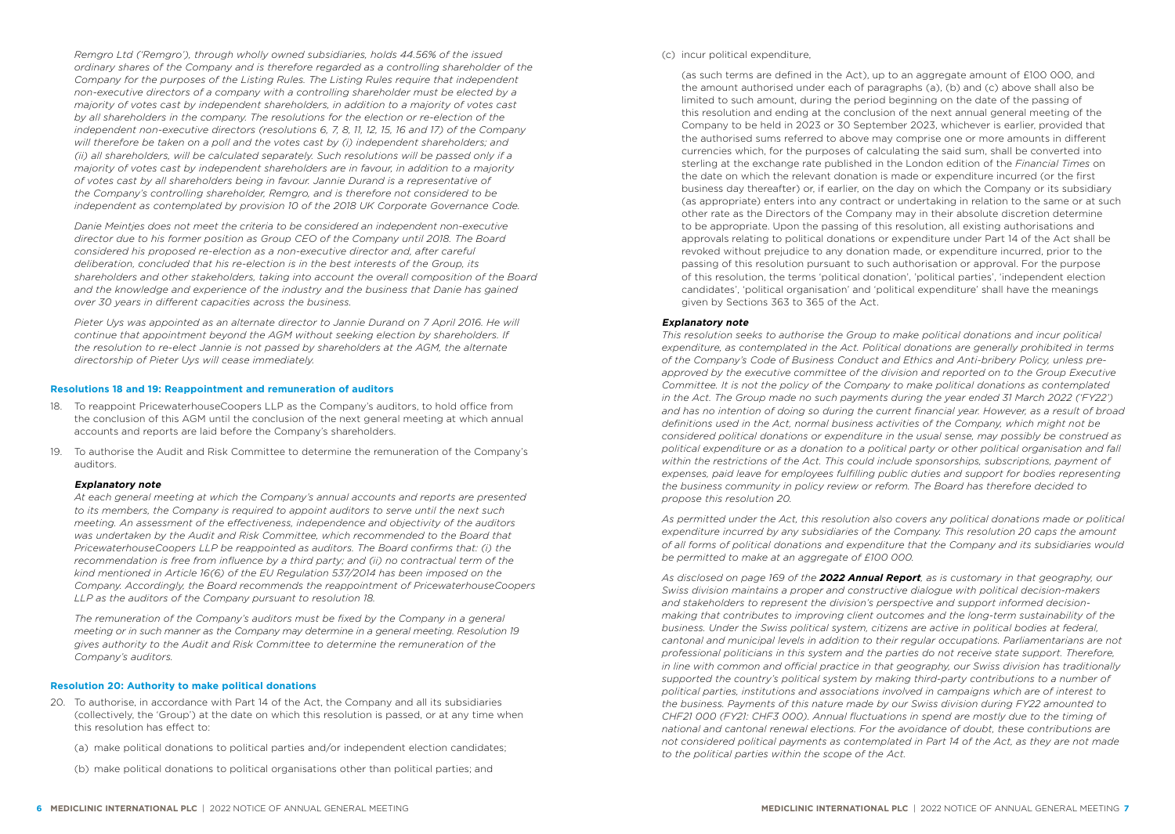*Remgro Ltd ('Remgro'), through wholly owned subsidiaries, holds 44.56% of the issued ordinary shares of the Company and is therefore regarded as a controlling shareholder of the Company for the purposes of the Listing Rules. The Listing Rules require that independent non-executive directors of a company with a controlling shareholder must be elected by a majority of votes cast by independent shareholders, in addition to a majority of votes cast by all shareholders in the company. The resolutions for the election or re-election of the independent non-executive directors (resolutions 6, 7, 8, 11, 12, 15, 16 and 17) of the Company will therefore be taken on a poll and the votes cast by (i) independent shareholders; and (ii) all shareholders, will be calculated separately. Such resolutions will be passed only if a majority of votes cast by independent shareholders are in favour, in addition to a majority of votes cast by all shareholders being in favour. Jannie Durand is a representative of the Company's controlling shareholder, Remgro, and is therefore not considered to be independent as contemplated by provision 10 of the 2018 UK Corporate Governance Code.* 

*Danie Meintjes does not meet the criteria to be considered an independent non-executive director due to his former position as Group CEO of the Company until 2018. The Board considered his proposed re-election as a non-executive director and, after careful deliberation, concluded that his re-election is in the best interests of the Group, its shareholders and other stakeholders, taking into account the overall composition of the Board and the knowledge and experience of the industry and the business that Danie has gained over 30 years in different capacities across the business.*

Pieter Uys was appointed as an alternate director to Jannie Durand on 7 April 2016. He will *continue that appointment beyond the AGM without seeking election by shareholders. If the resolution to re-elect Jannie is not passed by shareholders at the AGM, the alternate directorship of Pieter Uys will cease immediately.* 

### **Resolutions 18 and 19: Reappointment and remuneration of auditors**

- 18. To reappoint PricewaterhouseCoopers LLP as the Company's auditors, to hold office from the conclusion of this AGM until the conclusion of the next general meeting at which annual accounts and reports are laid before the Company's shareholders.
- 19. To authorise the Audit and Risk Committee to determine the remuneration of the Company's auditors.

### **Explanatory note**

*At each general meeting at which the Company's annual accounts and reports are presented to its members, the Company is required to appoint auditors to serve until the next such meeting. An assessment of the effectiveness, independence and objectivity of the auditors was undertaken by the Audit and Risk Committee, which recommended to the Board that PricewaterhouseCoopers LLP be reappointed as auditors. The Board confirms that: (i) the recommendation is free from influence by a third party; and (ii) no contractual term of the kind mentioned in Article 16(6) of the EU Regulation 537/2014 has been imposed on the Company. Accordingly, the Board recommends the reappointment of PricewaterhouseCoopers LLP as the auditors of the Company pursuant to resolution 18.* 

*The remuneration of the Company's auditors must be fixed by the Company in a general meeting or in such manner as the Company may determine in a general meeting. Resolution 19 gives authority to the Audit and Risk Committee to determine the remuneration of the Company's auditors.*

### **Resolution 20: Authority to make political donations**

- 20. To authorise, in accordance with Part 14 of the Act, the Company and all its subsidiaries (collectively, the 'Group') at the date on which this resolution is passed, or at any time when this resolution has effect to:
	- (a) make political donations to political parties and/or independent election candidates;
	- (b) make political donations to political organisations other than political parties; and

### (c) incur political expenditure,

(as such terms are defined in the Act), up to an aggregate amount of £100 000, and the amount authorised under each of paragraphs (a), (b) and (c) above shall also be limited to such amount, during the period beginning on the date of the passing of this resolution and ending at the conclusion of the next annual general meeting of the Company to be held in 2023 or 30 September 2023, whichever is earlier, provided that the authorised sums referred to above may comprise one or more amounts in different currencies which, for the purposes of calculating the said sum, shall be converted into sterling at the exchange rate published in the London edition of the *Financial Times* on the date on which the relevant donation is made or expenditure incurred (or the first business day thereafter) or, if earlier, on the day on which the Company or its subsidiary (as appropriate) enters into any contract or undertaking in relation to the same or at such other rate as the Directors of the Company may in their absolute discretion determine to be appropriate. Upon the passing of this resolution, all existing authorisations and approvals relating to political donations or expenditure under Part 14 of the Act shall be revoked without prejudice to any donation made, or expenditure incurred, prior to the passing of this resolution pursuant to such authorisation or approval. For the purpose of this resolution, the terms 'political donation', 'political parties', 'independent election candidates', 'political organisation' and 'political expenditure' shall have the meanings given by Sections 363 to 365 of the Act.

### **Explanatory note**

*This resolution seeks to authorise the Group to make political donations and incur political expenditure, as contemplated in the Act. Political donations are generally prohibited in terms of the Company's Code of Business Conduct and Ethics and Anti-bribery Policy, unless pre*approved by the executive committee of the division and reported on to the Group Executive *Committee. It is not the policy of the Company to make political donations as contemplated in the Act. The Group made no such payments during the year ended 31 March 2022 ('FY22') and has no intention of doing so during the current financial year. However, as a result of broad definitions used in the Act, normal business activities of the Company, which might not be considered political donations or expenditure in the usual sense, may possibly be construed as political expenditure or as a donation to a political party or other political organisation and fall within the restrictions of the Act. This could include sponsorships, subscriptions, payment of expenses, paid leave for employees fulfilling public duties and support for bodies representing the business community in policy review or reform. The Board has therefore decided to propose this resolution 20.* 

*As permitted under the Act, this resolution also covers any political donations made or political expenditure incurred by any subsidiaries of the Company. This resolution 20 caps the amount of all forms of political donations and expenditure that the Company and its subsidiaries would be permitted to make at an aggregate of £100 000.*

*As disclosed on page 169 of the [2022 Annual Report](https://annualreport.mediclinic.com), as is customary in that geography, our Swiss division maintains a proper and constructive dialogue with political decision-makers and stakeholders to represent the division's perspective and support informed decisionmaking that contributes to improving client outcomes and the long-term sustainability of the business. Under the Swiss political system, citizens are active in political bodies at federal, cantonal and municipal levels in addition to their regular occupations. Parliamentarians are not professional politicians in this system and the parties do not receive state support. Therefore, in line with common and official practice in that geography, our Swiss division has traditionally supported the country's political system by making third-party contributions to a number of political parties, institutions and associations involved in campaigns which are of interest to the business. Payments of this nature made by our Swiss division during FY22 amounted to CHF21 000 (FY21: CHF3 000). Annual fluctuations in spend are mostly due to the timing of national and cantonal renewal elections. For the avoidance of doubt, these contributions are not considered political payments as contemplated in Part 14 of the Act, as they are not made to the political parties within the scope of the Act.*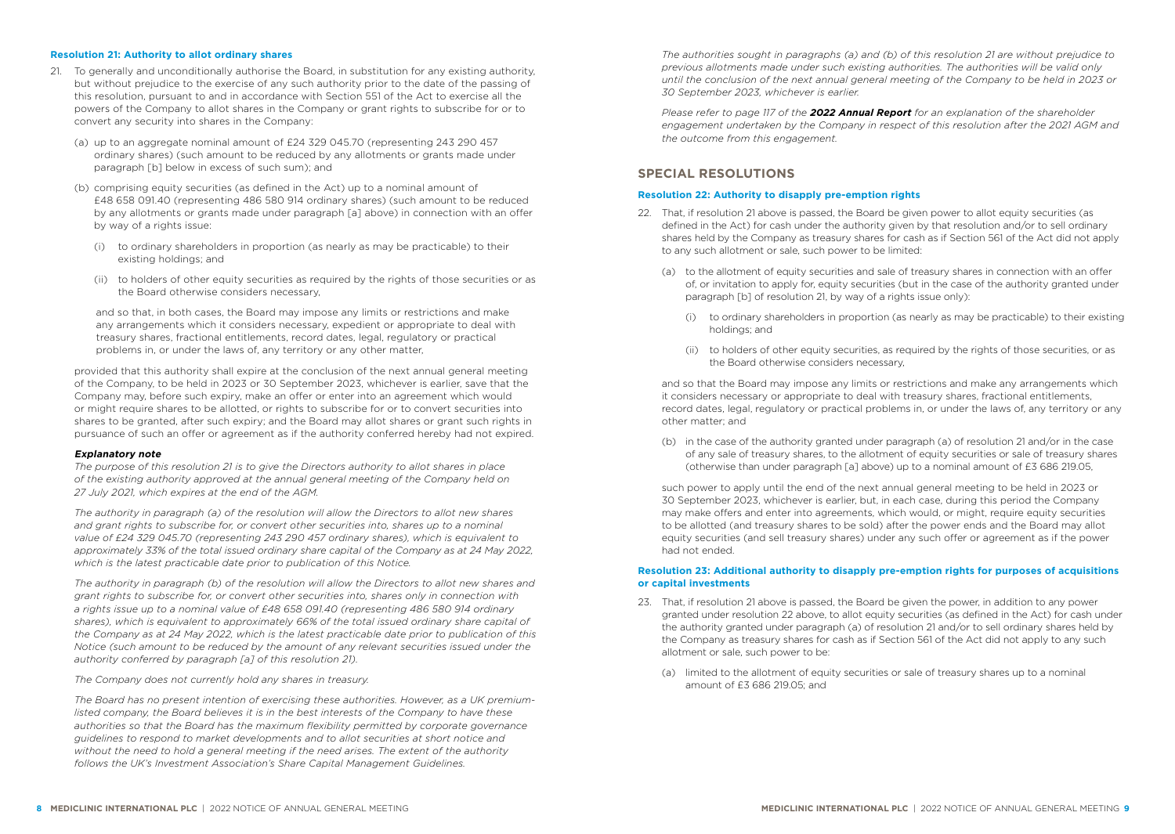# **Resolution 21: Authority to allot ordinary shares**

- 21. To generally and unconditionally authorise the Board, in substitution for any existing authority, but without prejudice to the exercise of any such authority prior to the date of the passing of this resolution, pursuant to and in accordance with Section 551 of the Act to exercise all the powers of the Company to allot shares in the Company or grant rights to subscribe for or to convert any security into shares in the Company:
	- (a) up to an aggregate nominal amount of £24 329 045.70 (representing 243 290 457 ordinary shares) (such amount to be reduced by any allotments or grants made under paragraph [b] below in excess of such sum); and
	- (b) comprising equity securities (as defined in the Act) up to a nominal amount of £48 658 091.40 (representing 486 580 914 ordinary shares) (such amount to be reduced by any allotments or grants made under paragraph [a] above) in connection with an offer by way of a rights issue:
		- (i) to ordinary shareholders in proportion (as nearly as may be practicable) to their existing holdings; and
		- (ii) to holders of other equity securities as required by the rights of those securities or as the Board otherwise considers necessary,

and so that, in both cases, the Board may impose any limits or restrictions and make any arrangements which it considers necessary, expedient or appropriate to deal with treasury shares, fractional entitlements, record dates, legal, regulatory or practical problems in, or under the laws of, any territory or any other matter,

provided that this authority shall expire at the conclusion of the next annual general meeting of the Company, to be held in 2023 or 30 September 2023, whichever is earlier, save that the Company may, before such expiry, make an offer or enter into an agreement which would or might require shares to be allotted, or rights to subscribe for or to convert securities into shares to be granted, after such expiry; and the Board may allot shares or grant such rights in pursuance of such an offer or agreement as if the authority conferred hereby had not expired.

### **Explanatory note**

*The purpose of this resolution 21 is to give the Directors authority to allot shares in place of the existing authority approved at the annual general meeting of the Company held on 27 July 2021, which expires at the end of the AGM.* 

*The authority in paragraph (a) of the resolution will allow the Directors to allot new shares and grant rights to subscribe for, or convert other securities into, shares up to a nominal value of £24 329 045.70 (representing 243 290 457 ordinary shares), which is equivalent to approximately 33% of the total issued ordinary share capital of the Company as at 24 May 2022, which is the latest practicable date prior to publication of this Notice.*

*The authority in paragraph (b) of the resolution will allow the Directors to allot new shares and grant rights to subscribe for, or convert other securities into, shares only in connection with a rights issue up to a nominal value of £48 658 091.40 (representing 486 580 914 ordinary shares), which is equivalent to approximately 66% of the total issued ordinary share capital of the Company as at 24 May 2022, which is the latest practicable date prior to publication of this Notice (such amount to be reduced by the amount of any relevant securities issued under the authority conferred by paragraph [a] of this resolution 21).*

*The Company does not currently hold any shares in treasury.*

*The Board has no present intention of exercising these authorities. However, as a UK premiumlisted company, the Board believes it is in the best interests of the Company to have these authorities so that the Board has the maximum flexibility permitted by corporate governance guidelines to respond to market developments and to allot securities at short notice and without the need to hold a general meeting if the need arises. The extent of the authority follows the UK's Investment Association's Share Capital Management Guidelines.* 

*The authorities sought in paragraphs (a) and (b) of this resolution 21 are without prejudice to previous allotments made under such existing authorities. The authorities will be valid only until the conclusion of the next annual general meeting of the Company to be held in 2023 or 30 September 2023, whichever is earlier.*

*Please refer to page 117 of the [2022 Annual Report](https://annualreport.mediclinic.com) for an explanation of the shareholder engagement undertaken by the Company in respect of this resolution after the 2021 AGM and the outcome from this engagement.* 

# **SPECIAL RESOLUTIONS**

# **Resolution 22: Authority to disapply pre-emption rights**

- 22. That, if resolution 21 above is passed, the Board be given power to allot equity securities (as defined in the Act) for cash under the authority given by that resolution and/or to sell ordinary shares held by the Company as treasury shares for cash as if Section 561 of the Act did not apply to any such allotment or sale, such power to be limited:
	- (a) to the allotment of equity securities and sale of treasury shares in connection with an offer of, or invitation to apply for, equity securities (but in the case of the authority granted under paragraph [b] of resolution 21, by way of a rights issue only):
		- (i) to ordinary shareholders in proportion (as nearly as may be practicable) to their existing holdings; and
		- (ii) to holders of other equity securities, as required by the rights of those securities, or as the Board otherwise considers necessary,

and so that the Board may impose any limits or restrictions and make any arrangements which it considers necessary or appropriate to deal with treasury shares, fractional entitlements, record dates, legal, regulatory or practical problems in, or under the laws of, any territory or any other matter; and

(b) in the case of the authority granted under paragraph (a) of resolution 21 and/or in the case of any sale of treasury shares, to the allotment of equity securities or sale of treasury shares (otherwise than under paragraph [a] above) up to a nominal amount of £3 686 219.05,

such power to apply until the end of the next annual general meeting to be held in 2023 or 30 September 2023, whichever is earlier, but, in each case, during this period the Company may make offers and enter into agreements, which would, or might, require equity securities to be allotted (and treasury shares to be sold) after the power ends and the Board may allot equity securities (and sell treasury shares) under any such offer or agreement as if the power had not ended.

### **Resolution 23: Additional authority to disapply pre-emption rights for purposes of acquisitions or capital investments**

- 23. That, if resolution 21 above is passed, the Board be given the power, in addition to any power granted under resolution 22 above, to allot equity securities (as defined in the Act) for cash under the authority granted under paragraph (a) of resolution 21 and/or to sell ordinary shares held by the Company as treasury shares for cash as if Section 561 of the Act did not apply to any such allotment or sale, such power to be:
	- (a) limited to the allotment of equity securities or sale of treasury shares up to a nominal amount of £3 686 219.05; and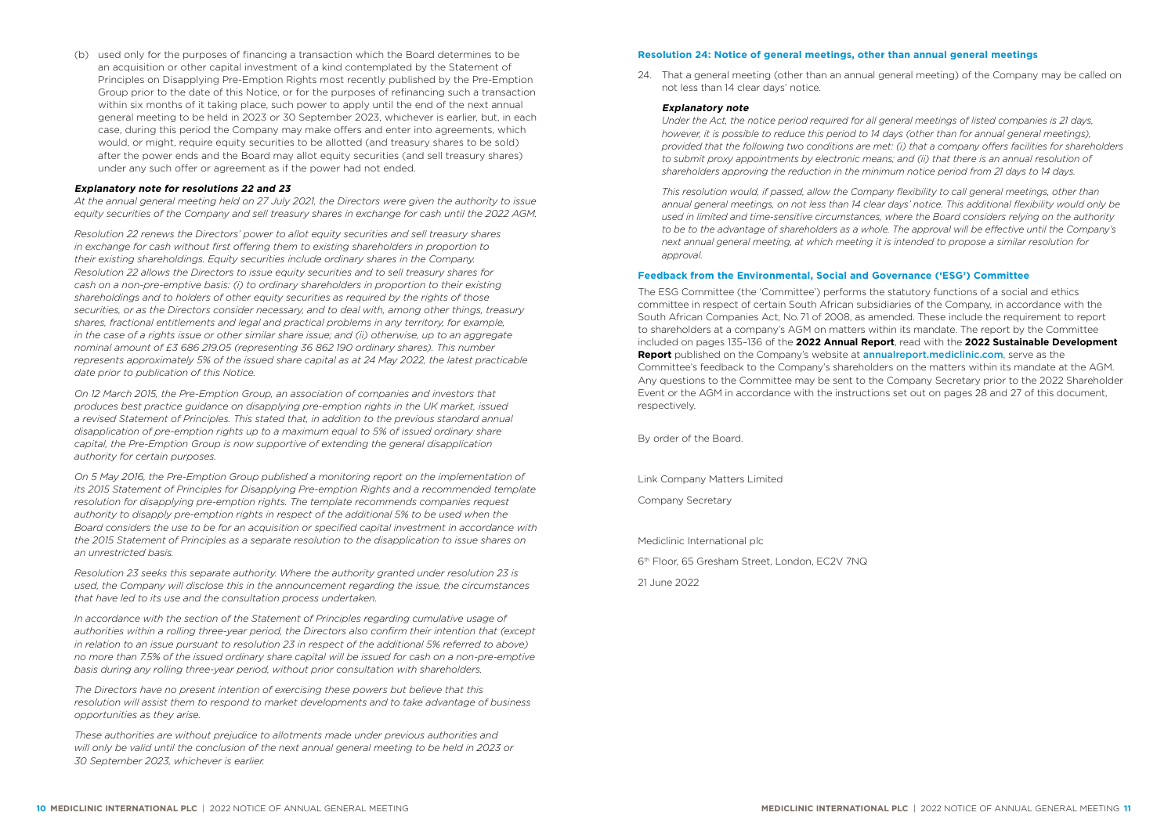(b) used only for the purposes of financing a transaction which the Board determines to be an acquisition or other capital investment of a kind contemplated by the Statement of Principles on Disapplying Pre-Emption Rights most recently published by the Pre-Emption Group prior to the date of this Notice, or for the purposes of refinancing such a transaction within six months of it taking place, such power to apply until the end of the next annual general meeting to be held in 2023 or 30 September 2023, whichever is earlier, but, in each case, during this period the Company may make offers and enter into agreements, which would, or might, require equity securities to be allotted (and treasury shares to be sold) after the power ends and the Board may allot equity securities (and sell treasury shares) under any such offer or agreement as if the power had not ended.

### **Explanatory note for resolutions 22 and 23**

*At the annual general meeting held on 27 July 2021, the Directors were given the authority to issue equity securities of the Company and sell treasury shares in exchange for cash until the 2022 AGM.*

*Resolution 22 renews the Directors' power to allot equity securities and sell treasury shares in exchange for cash without first offering them to existing shareholders in proportion to their existing shareholdings. Equity securities include ordinary shares in the Company. Resolution 22 allows the Directors to issue equity securities and to sell treasury shares for cash on a non-pre-emptive basis: (i) to ordinary shareholders in proportion to their existing shareholdings and to holders of other equity securities as required by the rights of those securities, or as the Directors consider necessary, and to deal with, among other things, treasury shares, fractional entitlements and legal and practical problems in any territory, for example, in the case of a rights issue or other similar share issue; and (ii) otherwise, up to an aggregate nominal amount of £3 686 219.05 (representing 36 862 190 ordinary shares). This number represents approximately 5% of the issued share capital as at 24 May 2022, the latest practicable date prior to publication of this Notice.*

*On 12 March 2015, the Pre-Emption Group, an association of companies and investors that produces best practice guidance on disapplying pre-emption rights in the UK market, issued a revised Statement of Principles. This stated that, in addition to the previous standard annual disapplication of pre-emption rights up to a maximum equal to 5% of issued ordinary share capital, the Pre-Emption Group is now supportive of extending the general disapplication authority for certain purposes.* 

*On 5 May 2016, the Pre-Emption Group published a monitoring report on the implementation of its 2015 Statement of Principles for Disapplying Pre-emption Rights and a recommended template resolution for disapplying pre-emption rights. The template recommends companies request authority to disapply pre-emption rights in respect of the additional 5% to be used when the Board considers the use to be for an acquisition or specified capital investment in accordance with the 2015 Statement of Principles as a separate resolution to the disapplication to issue shares on an unrestricted basis.*

*Resolution 23 seeks this separate authority. Where the authority granted under resolution 23 is used, the Company will disclose this in the announcement regarding the issue, the circumstances that have led to its use and the consultation process undertaken.*

*In accordance with the section of the Statement of Principles regarding cumulative usage of authorities within a rolling three-year period, the Directors also confirm their intention that (except in relation to an issue pursuant to resolution 23 in respect of the additional 5% referred to above) no more than 7.5% of the issued ordinary share capital will be issued for cash on a non-pre-emptive basis during any rolling three-year period, without prior consultation with shareholders.*

*The Directors have no present intention of exercising these powers but believe that this resolution will assist them to respond to market developments and to take advantage of business opportunities as they arise.*

*These authorities are without prejudice to allotments made under previous authorities and will only be valid until the conclusion of the next annual general meeting to be held in 2023 or 30 September 2023, whichever is earlier.* 

### **Resolution 24: Notice of general meetings, other than annual general meetings**

24. That a general meeting (other than an annual general meeting) of the Company may be called on not less than 14 clear days' notice.

### **Explanatory note**

*Under the Act, the notice period required for all general meetings of listed companies is 21 days, however, it is possible to reduce this period to 14 days (other than for annual general meetings), provided that the following two conditions are met: (i) that a company offers facilities for shareholders to submit proxy appointments by electronic means; and (ii) that there is an annual resolution of shareholders approving the reduction in the minimum notice period from 21 days to 14 days.* 

*This resolution would, if passed, allow the Company flexibility to call general meetings, other than annual general meetings, on not less than 14 clear days' notice. This additional flexibility would only be used in limited and time-sensitive circumstances, where the Board considers relying on the authority to be to the advantage of shareholders as a whole. The approval will be effective until the Company's next annual general meeting, at which meeting it is intended to propose a similar resolution for approval.*

### **Feedback from the Environmental, Social and Governance ('ESG') Committee**

The ESG Committee (the 'Committee') performs the statutory functions of a social and ethics committee in respect of certain South African subsidiaries of the Company, in accordance with the South African Companies Act, No. 71 of 2008, as amended. These include the requirement to report to shareholders at a company's AGM on matters within its mandate. The report by the Committee included on pages 135–136 of the **2022 Annual Report**, read with the **[2022 Sustainable Development](https://annualreport.mediclinic.com)  Report** [published on the Company's website at](https://annualreport.mediclinic.com) annualreport.mediclinic.com, serve as the Committee's feedback to the Company's shareholders on the matters within its mandate at the AGM. Any questions to the Committee may be sent to the Company Secretary prior to the 2022 Shareholder Event or the AGM in accordance with the instructions set out on pages 28 and 27 of this document, respectively.

By order of the Board.

Link Company Matters Limited

Company Secretary

Mediclinic International plc

6th Floor, 65 Gresham Street, London, EC2V 7NQ

21 June 2022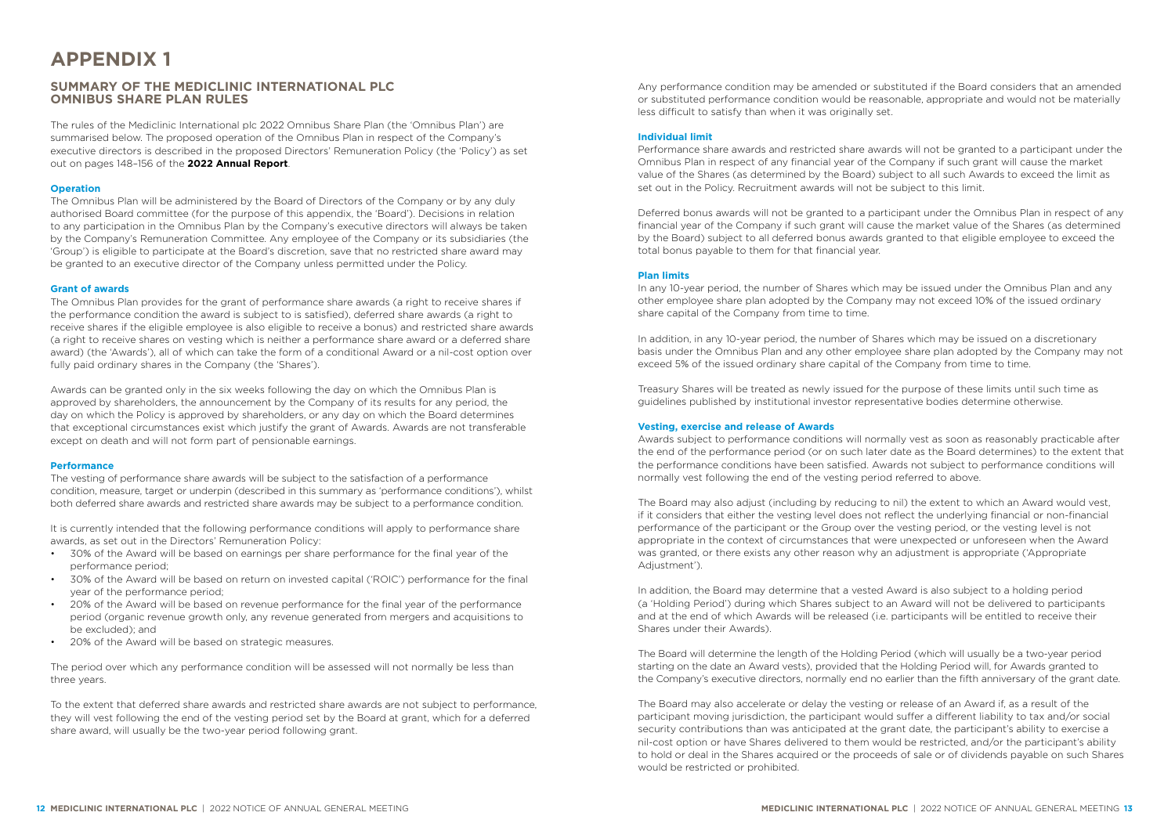# <span id="page-7-0"></span>**APPENDIX 1**

# **SUMMARY OF THE MEDICLINIC INTERNATIONAL PLC OMNIBUS SHARE PLAN RULES**

The rules of the Mediclinic International plc 2022 Omnibus Share Plan (the 'Omnibus Plan') are summarised below. The proposed operation of the Omnibus Plan in respect of the Company's executive directors is described in the proposed Directors' Remuneration Policy (the 'Policy') as set out on pages 148–156 of the **[2022 Annual Report](https://annualreport.mediclinic.com)**.

### **Operation**

The Omnibus Plan will be administered by the Board of Directors of the Company or by any duly authorised Board committee (for the purpose of this appendix, the 'Board'). Decisions in relation to any participation in the Omnibus Plan by the Company's executive directors will always be taken by the Company's Remuneration Committee. Any employee of the Company or its subsidiaries (the 'Group') is eligible to participate at the Board's discretion, save that no restricted share award may be granted to an executive director of the Company unless permitted under the Policy.

### **Grant of awards**

The Omnibus Plan provides for the grant of performance share awards (a right to receive shares if the performance condition the award is subject to is satisfied), deferred share awards (a right to receive shares if the eligible employee is also eligible to receive a bonus) and restricted share awards (a right to receive shares on vesting which is neither a performance share award or a deferred share award) (the 'Awards'), all of which can take the form of a conditional Award or a nil-cost option over fully paid ordinary shares in the Company (the 'Shares').

Awards can be granted only in the six weeks following the day on which the Omnibus Plan is approved by shareholders, the announcement by the Company of its results for any period, the day on which the Policy is approved by shareholders, or any day on which the Board determines that exceptional circumstances exist which justify the grant of Awards. Awards are not transferable except on death and will not form part of pensionable earnings.

# **Performance**

The vesting of performance share awards will be subject to the satisfaction of a performance condition, measure, target or underpin (described in this summary as 'performance conditions'), whilst both deferred share awards and restricted share awards may be subject to a performance condition.

It is currently intended that the following performance conditions will apply to performance share awards, as set out in the Directors' Remuneration Policy:

- 30% of the Award will be based on earnings per share performance for the final year of the performance period;
- 30% of the Award will be based on return on invested capital ('ROIC') performance for the final year of the performance period;
- 20% of the Award will be based on revenue performance for the final year of the performance period (organic revenue growth only, any revenue generated from mergers and acquisitions to be excluded); and
- 20% of the Award will be based on strategic measures.

The period over which any performance condition will be assessed will not normally be less than three years.

To the extent that deferred share awards and restricted share awards are not subject to performance, they will vest following the end of the vesting period set by the Board at grant, which for a deferred share award, will usually be the two-year period following grant.

Any performance condition may be amended or substituted if the Board considers that an amended or substituted performance condition would be reasonable, appropriate and would not be materially less difficult to satisfy than when it was originally set.

# **Individual limit**

Performance share awards and restricted share awards will not be granted to a participant under the Omnibus Plan in respect of any financial year of the Company if such grant will cause the market value of the Shares (as determined by the Board) subject to all such Awards to exceed the limit as set out in the Policy. Recruitment awards will not be subject to this limit.

Deferred bonus awards will not be granted to a participant under the Omnibus Plan in respect of any financial year of the Company if such grant will cause the market value of the Shares (as determined by the Board) subject to all deferred bonus awards granted to that eligible employee to exceed the total bonus payable to them for that financial year.

# **Plan limits**

In any 10-year period, the number of Shares which may be issued under the Omnibus Plan and any other employee share plan adopted by the Company may not exceed 10% of the issued ordinary share capital of the Company from time to time.

In addition, in any 10-year period, the number of Shares which may be issued on a discretionary basis under the Omnibus Plan and any other employee share plan adopted by the Company may not exceed 5% of the issued ordinary share capital of the Company from time to time.

Treasury Shares will be treated as newly issued for the purpose of these limits until such time as guidelines published by institutional investor representative bodies determine otherwise.

# **Vesting, exercise and release of Awards**

Awards subject to performance conditions will normally vest as soon as reasonably practicable after the end of the performance period (or on such later date as the Board determines) to the extent that the performance conditions have been satisfied. Awards not subject to performance conditions will normally vest following the end of the vesting period referred to above.

The Board may also adjust (including by reducing to nil) the extent to which an Award would vest, if it considers that either the vesting level does not reflect the underlying financial or non-financial performance of the participant or the Group over the vesting period, or the vesting level is not appropriate in the context of circumstances that were unexpected or unforeseen when the Award was granted, or there exists any other reason why an adjustment is appropriate ('Appropriate Adjustment').

In addition, the Board may determine that a vested Award is also subject to a holding period (a 'Holding Period') during which Shares subject to an Award will not be delivered to participants and at the end of which Awards will be released (i.e. participants will be entitled to receive their Shares under their Awards).

The Board will determine the length of the Holding Period (which will usually be a two-year period starting on the date an Award vests), provided that the Holding Period will, for Awards granted to the Company's executive directors, normally end no earlier than the fifth anniversary of the grant date.

The Board may also accelerate or delay the vesting or release of an Award if, as a result of the participant moving jurisdiction, the participant would suffer a different liability to tax and/or social security contributions than was anticipated at the grant date, the participant's ability to exercise a nil-cost option or have Shares delivered to them would be restricted, and/or the participant's ability to hold or deal in the Shares acquired or the proceeds of sale or of dividends payable on such Shares would be restricted or prohibited.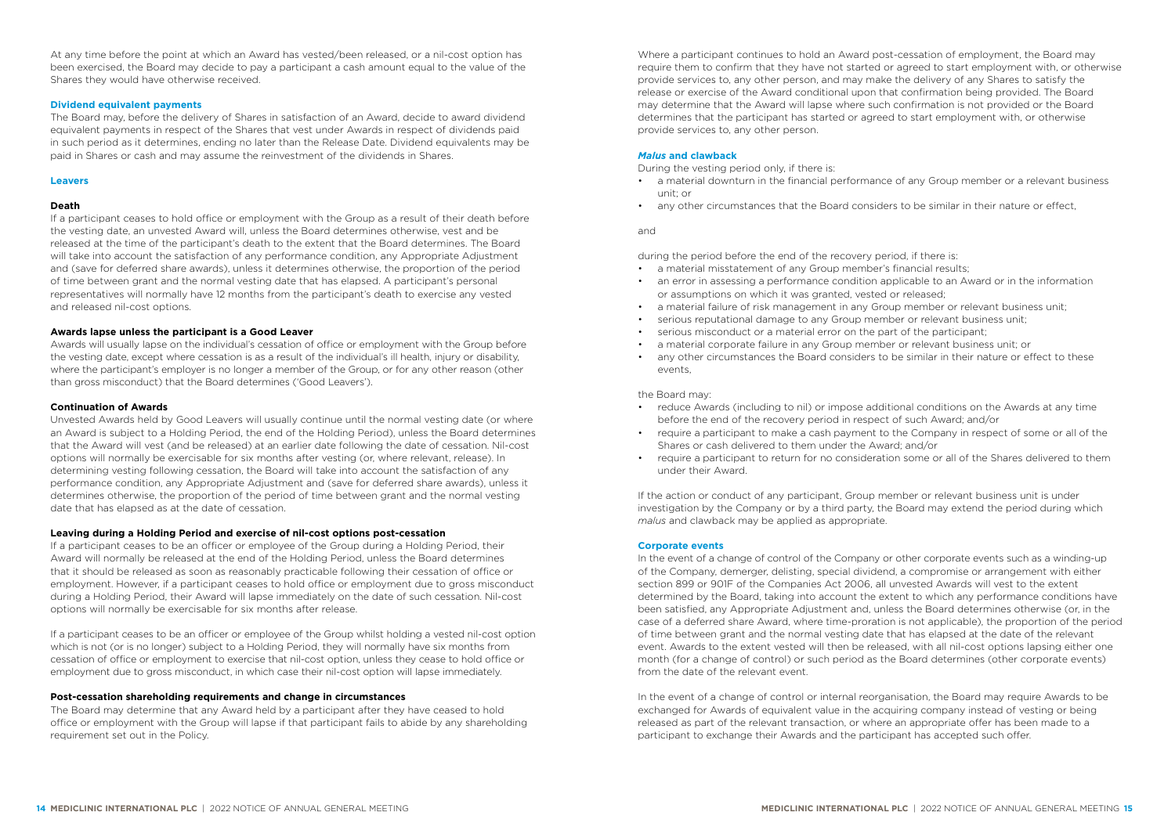At any time before the point at which an Award has vested/been released, or a nil-cost option has been exercised, the Board may decide to pay a participant a cash amount equal to the value of the Shares they would have otherwise received.

### **Dividend equivalent payments**

The Board may, before the delivery of Shares in satisfaction of an Award, decide to award dividend equivalent payments in respect of the Shares that vest under Awards in respect of dividends paid in such period as it determines, ending no later than the Release Date. Dividend equivalents may be paid in Shares or cash and may assume the reinvestment of the dividends in Shares.

### **Leavers**

### **Death**

If a participant ceases to hold office or employment with the Group as a result of their death before the vesting date, an unvested Award will, unless the Board determines otherwise, vest and be released at the time of the participant's death to the extent that the Board determines. The Board will take into account the satisfaction of any performance condition, any Appropriate Adjustment and (save for deferred share awards), unless it determines otherwise, the proportion of the period of time between grant and the normal vesting date that has elapsed. A participant's personal representatives will normally have 12 months from the participant's death to exercise any vested and released nil-cost options.

### **Awards lapse unless the participant is a Good Leaver**

Awards will usually lapse on the individual's cessation of office or employment with the Group before the vesting date, except where cessation is as a result of the individual's ill health, injury or disability, where the participant's employer is no longer a member of the Group, or for any other reason (other than gross misconduct) that the Board determines ('Good Leavers').

### **Continuation of Awards**

Unvested Awards held by Good Leavers will usually continue until the normal vesting date (or where an Award is subject to a Holding Period, the end of the Holding Period), unless the Board determines that the Award will vest (and be released) at an earlier date following the date of cessation. Nil-cost options will normally be exercisable for six months after vesting (or, where relevant, release). In determining vesting following cessation, the Board will take into account the satisfaction of any performance condition, any Appropriate Adjustment and (save for deferred share awards), unless it determines otherwise, the proportion of the period of time between grant and the normal vesting date that has elapsed as at the date of cessation.

### **Leaving during a Holding Period and exercise of nil-cost options post-cessation**

If a participant ceases to be an officer or employee of the Group during a Holding Period, their Award will normally be released at the end of the Holding Period, unless the Board determines that it should be released as soon as reasonably practicable following their cessation of office or employment. However, if a participant ceases to hold office or employment due to gross misconduct during a Holding Period, their Award will lapse immediately on the date of such cessation. Nil-cost options will normally be exercisable for six months after release.

If a participant ceases to be an officer or employee of the Group whilst holding a vested nil-cost option which is not (or is no longer) subject to a Holding Period, they will normally have six months from cessation of office or employment to exercise that nil-cost option, unless they cease to hold office or employment due to gross misconduct, in which case their nil-cost option will lapse immediately.

### **Post-cessation shareholding requirements and change in circumstances**

The Board may determine that any Award held by a participant after they have ceased to hold office or employment with the Group will lapse if that participant fails to abide by any shareholding requirement set out in the Policy.

Where a participant continues to hold an Award post-cessation of employment, the Board may require them to confirm that they have not started or agreed to start employment with, or otherwise provide services to, any other person, and may make the delivery of any Shares to satisfy the release or exercise of the Award conditional upon that confirmation being provided. The Board may determine that the Award will lapse where such confirmation is not provided or the Board determines that the participant has started or agreed to start employment with, or otherwise provide services to, any other person.

### *Malus* **and clawback**

During the vesting period only, if there is:

- a material downturn in the financial performance of any Group member or a relevant business unit; or
- any other circumstances that the Board considers to be similar in their nature or effect,

### and

during the period before the end of the recovery period, if there is:

- a material misstatement of any Group member's financial results;
- an error in assessing a performance condition applicable to an Award or in the information or assumptions on which it was granted, vested or released;
- a material failure of risk management in any Group member or relevant business unit;
- serious reputational damage to any Group member or relevant business unit;
- serious misconduct or a material error on the part of the participant;
- a material corporate failure in any Group member or relevant business unit; or
- any other circumstances the Board considers to be similar in their nature or effect to these events,

the Board may:

- reduce Awards (including to nil) or impose additional conditions on the Awards at any time before the end of the recovery period in respect of such Award; and/or
- require a participant to make a cash payment to the Company in respect of some or all of the Shares or cash delivered to them under the Award; and/or
- require a participant to return for no consideration some or all of the Shares delivered to them under their Award.

If the action or conduct of any participant, Group member or relevant business unit is under investigation by the Company or by a third party, the Board may extend the period during which *malus* and clawback may be applied as appropriate.

### **Corporate events**

In the event of a change of control of the Company or other corporate events such as a winding-up of the Company, demerger, delisting, special dividend, a compromise or arrangement with either section 899 or 901F of the Companies Act 2006, all unvested Awards will vest to the extent determined by the Board, taking into account the extent to which any performance conditions have been satisfied, any Appropriate Adjustment and, unless the Board determines otherwise (or, in the case of a deferred share Award, where time-proration is not applicable), the proportion of the period of time between grant and the normal vesting date that has elapsed at the date of the relevant event. Awards to the extent vested will then be released, with all nil-cost options lapsing either one month (for a change of control) or such period as the Board determines (other corporate events) from the date of the relevant event.

In the event of a change of control or internal reorganisation, the Board may require Awards to be exchanged for Awards of equivalent value in the acquiring company instead of vesting or being released as part of the relevant transaction, or where an appropriate offer has been made to a participant to exchange their Awards and the participant has accepted such offer.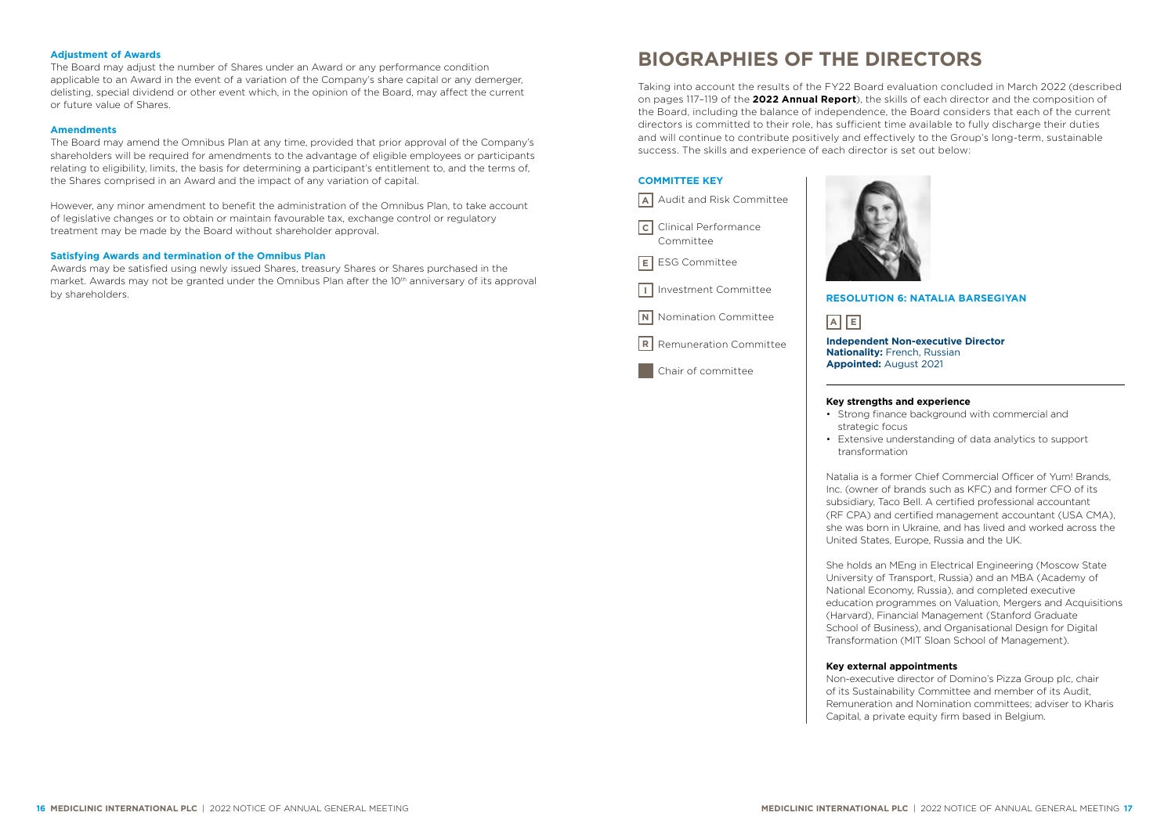# <span id="page-9-0"></span>**Adjustment of Awards**

The Board may adjust the number of Shares under an Award or any performance condition applicable to an Award in the event of a variation of the Company's share capital or any demerger, delisting, special dividend or other event which, in the opinion of the Board, may affect the current or future value of Shares.

# **Amendments**

The Board may amend the Omnibus Plan at any time, provided that prior approval of the Company's shareholders will be required for amendments to the advantage of eligible employees or participants relating to eligibility, limits, the basis for determining a participant's entitlement to, and the terms of, the Shares comprised in an Award and the impact of any variation of capital.

However, any minor amendment to benefit the administration of the Omnibus Plan, to take account of legislative changes or to obtain or maintain favourable tax, exchange control or regulatory treatment may be made by the Board without shareholder approval.

# **Satisfying Awards and termination of the Omnibus Plan**

Awards may be satisfied using newly issued Shares, treasury Shares or Shares purchased in the market. Awards may not be granted under the Omnibus Plan after the 10th anniversary of its approval by shareholders.

# **BIOGRAPHIES OF THE DIRECTORS**

Taking into account the results of the FY22 Board evaluation concluded in March 2022 (described on pages 117–119 of the **[2022 Annual Report](https://annualreport.mediclinic.com)**), the skills of each director and the composition of the Board, including the balance of independence, the Board considers that each of the current directors is committed to their role, has sufficient time available to fully discharge their duties and will continue to contribute positively and effectively to the Group's long-term, sustainable success. The skills and experience of each director is set out below:

# **COMMITTEE KEY**



**E** | ESG Committee

- Investment Committee **I**
- **N** Nomination Committee
- Remuneration Committee **R**

Chair of committee





# **E A**

**Independent Non-executive Director Nationality: French, Russian Appointed:** August 2021

### **Key strengths and experience**

- Strong finance background with commercial and strategic focus
- Extensive understanding of data analytics to support transformation

Natalia is a former Chief Commercial Officer of Yum! Brands, Inc. (owner of brands such as KFC) and former CFO of its subsidiary, Taco Bell. A certified professional accountant (RF CPA) and certified management accountant (USA CMA), she was born in Ukraine, and has lived and worked across the United States, Europe, Russia and the UK.

She holds an MEng in Electrical Engineering (Moscow State University of Transport, Russia) and an MBA (Academy of National Economy, Russia), and completed executive education programmes on Valuation, Mergers and Acquisitions (Harvard), Financial Management (Stanford Graduate School of Business), and Organisational Design for Digital Transformation (MIT Sloan School of Management).

### **Key external appointments**

Non-executive director of Domino's Pizza Group plc, chair of its Sustainability Committee and member of its Audit, Remuneration and Nomination committees; adviser to Kharis Capital, a private equity firm based in Belgium.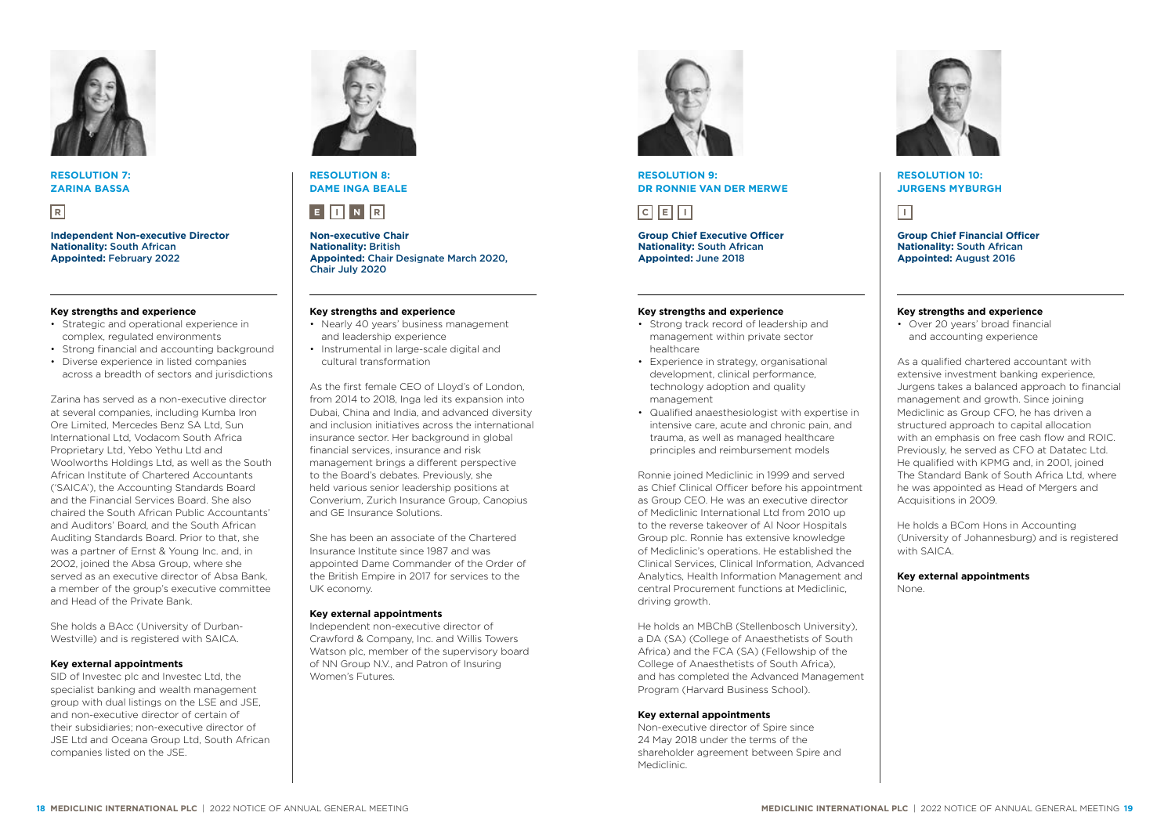

**RESOLUTION 7: ZARINA BASSA** 

**Independent Non-executive Director Nationality:** South African **Appointed:** February 2022

# **Key strengths and experience**

- Strategic and operational experience in complex, regulated environments
- Strong financial and accounting background
- Diverse experience in listed companies across a breadth of sectors and jurisdictions

Zarina has served as a non-executive director at several companies, including Kumba Iron Ore Limited, Mercedes Benz SA Ltd, Sun International Ltd, Vodacom South Africa Proprietary Ltd, Yebo Yethu Ltd and Woolworths Holdings Ltd, as well as the South African Institute of Chartered Accountants ('SAICA'), the Accounting Standards Board and the Financial Services Board. She also chaired the South African Public Accountants' and Auditors' Board, and the South African Auditing Standards Board. Prior to that, she was a partner of Ernst & Young Inc. and, in 2002, joined the Absa Group, where she served as an executive director of Absa Bank, a member of the group's executive committee and Head of the Private Bank.

She holds a BAcc (University of Durban-Westville) and is registered with SAICA.

### **Key external appointments**

SID of Investec plc and Investec Ltd, the specialist banking and wealth management group with dual listings on the LSE and JSE, and non-executive director of certain of their subsidiaries; non-executive director of JSE Ltd and Oceana Group Ltd, South African companies listed on the JSE.



**RESOLUTION 8: DAME INGA BEALE**



**Non-executive Chair Nationality:** British **Appointed:** Chair Designate March 2020, Chair July 2020

# **Key strengths and experience**

- Nearly 40 years' business management and leadership experience
- Instrumental in large-scale digital and cultural transformation

As the first female CEO of Lloyd's of London, from 2014 to 2018, Inga led its expansion into Dubai, China and India, and advanced diversity and inclusion initiatives across the international insurance sector. Her background in global financial services, insurance and risk management brings a different perspective to the Board's debates. Previously, she held various senior leadership positions at Converium, Zurich Insurance Group, Canopius and GE Insurance Solutions.

She has been an associate of the Chartered Insurance Institute since 1987 and was appointed Dame Commander of the Order of the British Empire in 2017 for services to the UK economy.

### **Key external appointments**

Independent non-executive director of Crawford & Company, Inc. and Willis Towers Watson plc, member of the supervisory board of NN Group N.V., and Patron of Insuring Women's Futures.



**RESOLUTION 9: DR RONNIE VAN DER MERWE**



**Group Chief Executive Officer Nationality:** South African **Appointed:** June 2018

# **Key strengths and experience**

- Strong track record of leadership and management within private sector healthcare
- Experience in strategy, organisational development, clinical performance, technology adoption and quality management
- Qualified anaesthesiologist with expertise in intensive care, acute and chronic pain, and trauma, as well as managed healthcare principles and reimbursement models

Ronnie joined Mediclinic in 1999 and served as Chief Clinical Officer before his appointment as Group CEO. He was an executive director of Mediclinic International Ltd from 2010 up to the reverse takeover of Al Noor Hospitals Group plc. Ronnie has extensive knowledge of Mediclinic's operations. He established the Clinical Services, Clinical Information, Advanced Analytics, Health Information Management and central Procurement functions at Mediclinic, driving growth.

He holds an MBChB (Stellenbosch University), a DA (SA) (College of Anaesthetists of South Africa) and the FCA (SA) (Fellowship of the College of Anaesthetists of South Africa), and has completed the Advanced Management Program (Harvard Business School).

### **Key external appointments**

Non-executive director of Spire since 24 May 2018 under the terms of the shareholder agreement between Spire and Mediclinic.



### **RESOLUTION 10: JURGENS MYBURGH**

**Group Chief Financial Officer Nationality:** South African **Appointed:** August 2016

# **Key strengths and experience**

• Over 20 years' broad financial and accounting experience

As a qualified chartered accountant with extensive investment banking experience, Jurgens takes a balanced approach to financial management and growth. Since joining Mediclinic as Group CFO, he has driven a structured approach to capital allocation with an emphasis on free cash flow and ROIC. Previously, he served as CFO at Datatec Ltd. He qualified with KPMG and, in 2001, joined The Standard Bank of South Africa Ltd, where he was appointed as Head of Mergers and Acquisitions in 2009.

He holds a BCom Hons in Accounting (University of Johannesburg) and is registered with SAICA.

**Key external appointments** 

None.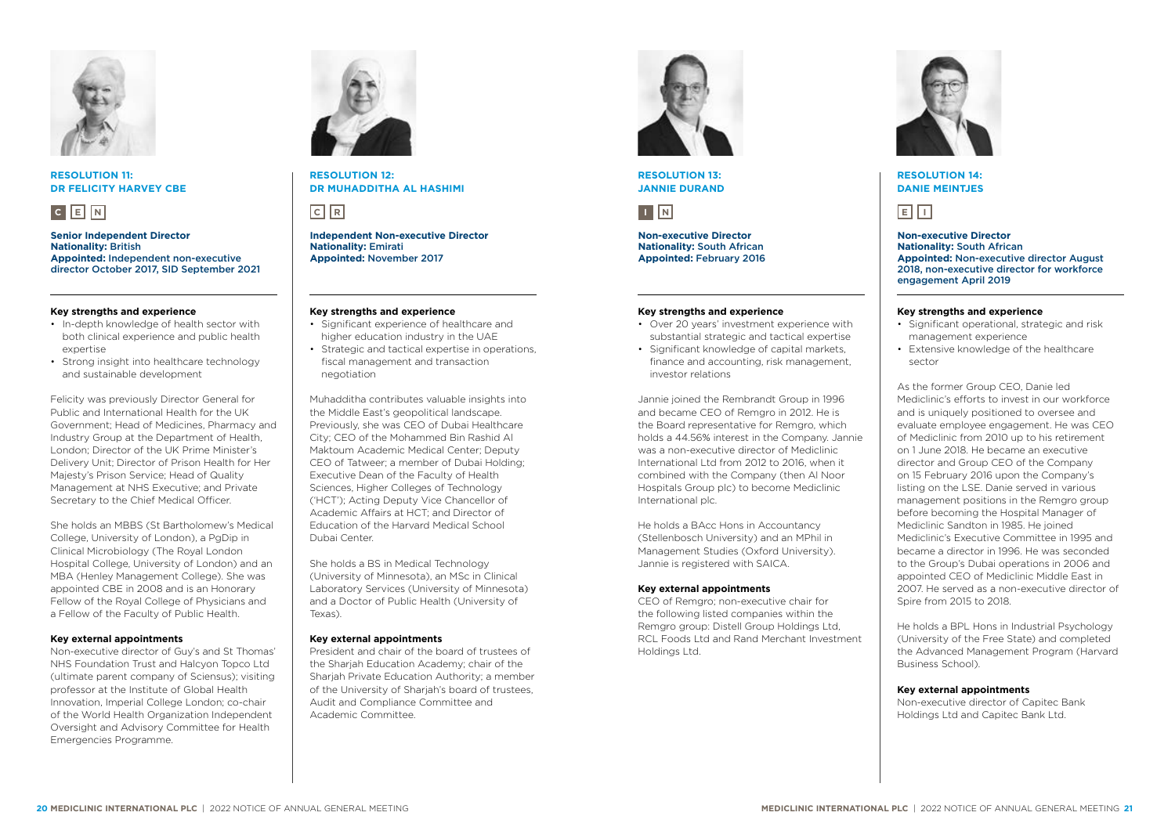

### **RESOLUTION 11: DR FELICITY HARVEY CBE**



**Senior Independent Director Nationality:** British **Appointed:** Independent non-executive director October 2017, SID September 2021

# **Key strengths and experience**

- In-depth knowledge of health sector with both clinical experience and public health expertise
- Strong insight into healthcare technology and sustainable development

Felicity was previously Director General for Public and International Health for the UK Government; Head of Medicines, Pharmacy and Industry Group at the Department of Health, London; Director of the UK Prime Minister's Delivery Unit; Director of Prison Health for Her Majesty's Prison Service; Head of Quality Management at NHS Executive; and Private Secretary to the Chief Medical Officer.

She holds an MBBS (St Bartholomew's Medical College, University of London), a PgDip in Clinical Microbiology (The Royal London Hospital College, University of London) and an MBA (Henley Management College). She was appointed CBE in 2008 and is an Honorary Fellow of the Royal College of Physicians and a Fellow of the Faculty of Public Health.

# **Key external appointments**

Non-executive director of Guy's and St Thomas' NHS Foundation Trust and Halcyon Topco Ltd (ultimate parent company of Sciensus); visiting professor at the Institute of Global Health Innovation, Imperial College London; co-chair of the World Health Organization Independent Oversight and Advisory Committee for Health Emergencies Programme.



**RESOLUTION 12: DR MUHADDITHA AL HASHIMI** 

**Independent Non-executive Director Nationality:** Emirati **Appointed:** November 2017

# **Key strengths and experience**

- Significant experience of healthcare and higher education industry in the UAE
- Strategic and tactical expertise in operations, fiscal management and transaction negotiation

Muhadditha contributes valuable insights into the Middle East's geopolitical landscape. Previously, she was CEO of Dubai Healthcare City; CEO of the Mohammed Bin Rashid Al Maktoum Academic Medical Center; Deputy CEO of Tatweer; a member of Dubai Holding; Executive Dean of the Faculty of Health Sciences, Higher Colleges of Technology ('HCT'); Acting Deputy Vice Chancellor of Academic Affairs at HCT; and Director of Education of the Harvard Medical School Dubai Center.

She holds a BS in Medical Technology (University of Minnesota), an MSc in Clinical Laboratory Services (University of Minnesota) and a Doctor of Public Health (University of Texas).

### **Key external appointments**

President and chair of the board of trustees of the Sharjah Education Academy; chair of the Sharjah Private Education Authority; a member of the University of Sharjah's board of trustees, Audit and Compliance Committee and Academic Committee.



**RESOLUTION 13: JANNIE DURAND** 

**Non-executive Director Nationality:** South African **Appointed:** February 2016

# **Key strengths and experience**

- Over 20 years' investment experience with substantial strategic and tactical expertise
- Significant knowledge of capital markets, finance and accounting, risk management, investor relations

Jannie joined the Rembrandt Group in 1996 and became CEO of Remgro in 2012. He is the Board representative for Remgro, which holds a 44.56% interest in the Company. Jannie was a non-executive director of Mediclinic International Ltd from 2012 to 2016, when it combined with the Company (then Al Noor Hospitals Group plc) to become Mediclinic International plc.

He holds a BAcc Hons in Accountancy (Stellenbosch University) and an MPhil in Management Studies (Oxford University). Jannie is registered with SAICA.

# **Key external appointments**

CEO of Remgro; non-executive chair for the following listed companies within the Remgro group: Distell Group Holdings Ltd, RCL Foods Ltd and Rand Merchant Investment Holdings Ltd.



# **RESOLUTION 14: DANIE MEINTJES**



**Non-executive Director Nationality:** South African **Appointed:** Non-executive director August 2018, non-executive director for workforce engagement April 2019

### **Key strengths and experience**

- Significant operational, strategic and risk management experience
- Extensive knowledge of the healthcare sector

As the former Group CEO, Danie led Mediclinic's efforts to invest in our workforce and is uniquely positioned to oversee and evaluate employee engagement. He was CEO of Mediclinic from 2010 up to his retirement on 1 June 2018. He became an executive director and Group CEO of the Company on 15 February 2016 upon the Company's listing on the LSE. Danie served in various management positions in the Remgro group before becoming the Hospital Manager of Mediclinic Sandton in 1985. He joined Mediclinic's Executive Committee in 1995 and became a director in 1996. He was seconded to the Group's Dubai operations in 2006 and appointed CEO of Mediclinic Middle East in 2007. He served as a non-executive director of Spire from 2015 to 2018.

He holds a BPL Hons in Industrial Psychology (University of the Free State) and completed the Advanced Management Program (Harvard Business School).

### **Key external appointments**

Non-executive director of Capitec Bank Holdings Ltd and Capitec Bank Ltd.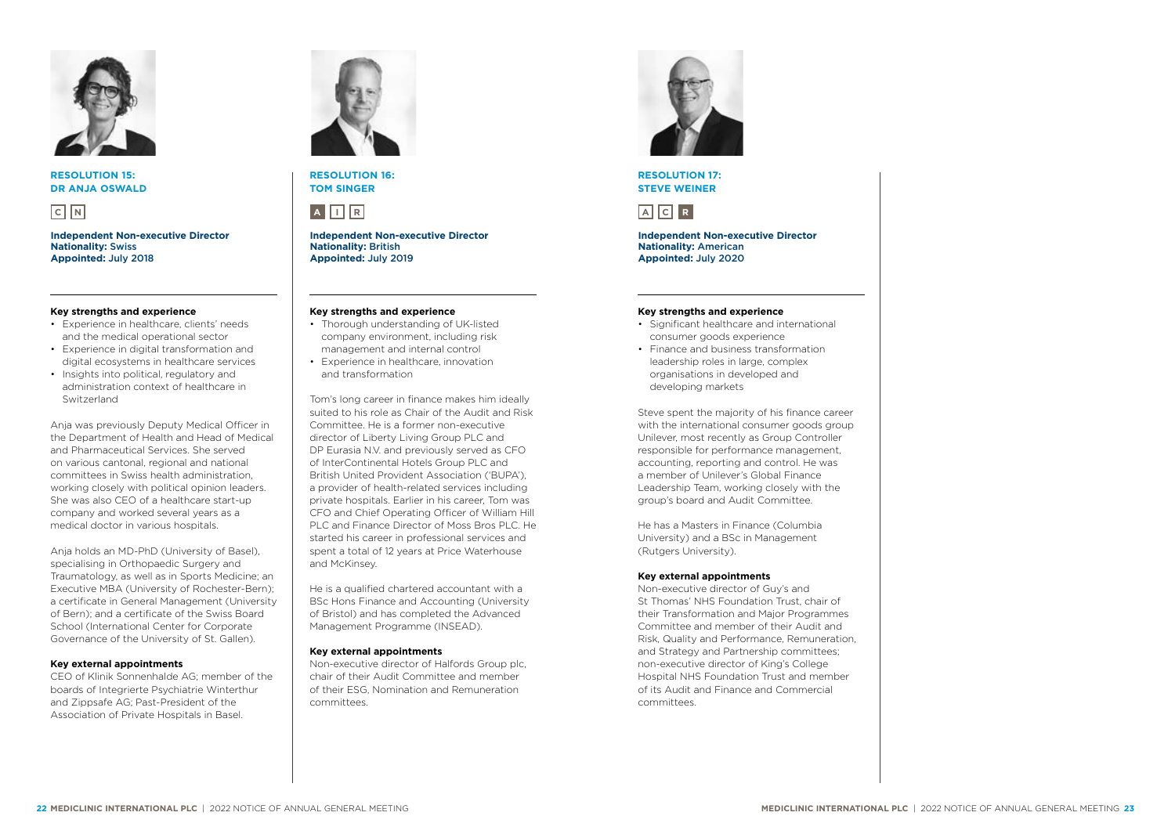

**RESOLUTION 15: DR ANJA OSWALD**



**Independent Non-executive Director Nationality:** Swiss **Appointed:** July 2018

# **Key strengths and experience**

- Experience in healthcare, clients' needs and the medical operational sector
- Experience in digital transformation and digital ecosystems in healthcare services
- Insights into political, regulatory and administration context of healthcare in Switzerland

Anja was previously Deputy Medical Officer in the Department of Health and Head of Medical and Pharmaceutical Services. She served on various cantonal, regional and national committees in Swiss health administration, working closely with political opinion leaders. She was also CEO of a healthcare start-up company and worked several years as a medical doctor in various hospitals.

Anja holds an MD-PhD (University of Basel), specialising in Orthopaedic Surgery and Traumatology, as well as in Sports Medicine; an Executive MBA (University of Rochester-Bern); a certificate in General Management (University of Bern); and a certificate of the Swiss Board School (International Center for Corporate Governance of the University of St. Gallen).

### **Key external appointments**

CEO of Klinik Sonnenhalde AG; member of the boards of Integrierte Psychiatrie Winterthur and Zippsafe AG; Past-President of the Association of Private Hospitals in Basel.



**RESOLUTION 16: TOM SINGER**



**Independent Non-executive Director Nationality:** British **Appointed:** July 2019

### **Key strengths and experience**

- Thorough understanding of UK-listed company environment, including risk management and internal control
- Experience in healthcare, innovation and transformation

Tom's long career in finance makes him ideally suited to his role as Chair of the Audit and Risk Committee. He is a former non-executive director of Liberty Living Group PLC and DP Eurasia N.V. and previously served as CEO of InterContinental Hotels Group PLC and British United Provident Association ('BUPA'), a provider of health-related services including private hospitals. Earlier in his career, Tom was CFO and Chief Operating Officer of William Hill PLC and Finance Director of Moss Bros PLC. He started his career in professional services and spent a total of 12 years at Price Waterhouse and McKinsey.

He is a qualified chartered accountant with a BSc Hons Finance and Accounting (University of Bristol) and has completed the Advanced Management Programme (INSEAD).

### **Key external appointments**

Non-executive director of Halfords Group plc, chair of their Audit Committee and member of their ESG, Nomination and Remuneration committees.



**RESOLUTION 17: STEVE WEINER** 

# **A C R**

**Independent Non-executive Director Nationality:** American **Appointed:** July 2020

# **Key strengths and experience**

- Significant healthcare and international consumer goods experience
- Finance and business transformation leadership roles in large, complex organisations in developed and developing markets

Steve spent the majority of his finance career with the international consumer goods group Unilever, most recently as Group Controller responsible for performance management accounting, reporting and control. He was a member of Unilever's Global Finance Leadership Team, working closely with the group's board and Audit Committee.

He has a Masters in Finance (Columbia University) and a BSc in Management (Rutgers University).

# **Key external appointments**

Non-executive director of Guy's and St Thomas' NHS Foundation Trust, chair of their Transformation and Major Programmes Committee and member of their Audit and Risk, Quality and Performance, Remuneration, and Strategy and Partnership committees; non-executive director of King's College Hospital NHS Foundation Trust and member of its Audit and Finance and Commercial committees.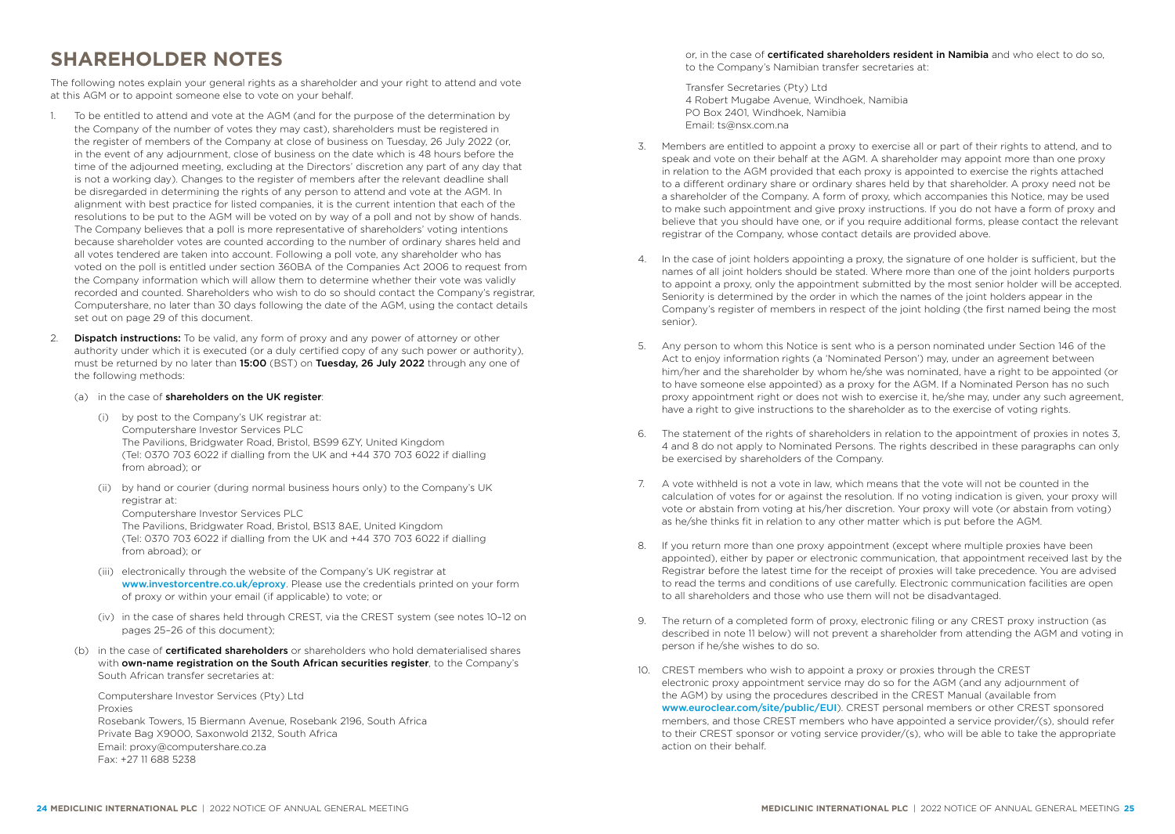# <span id="page-13-0"></span>**SHAREHOLDER NOTES**

The following notes explain your general rights as a shareholder and your right to attend and vote at this AGM or to appoint someone else to vote on your behalf.

- 1. To be entitled to attend and vote at the AGM (and for the purpose of the determination by the Company of the number of votes they may cast), shareholders must be registered in the register of members of the Company at close of business on Tuesday, 26 July 2022 (or, in the event of any adjournment, close of business on the date which is 48 hours before the time of the adjourned meeting, excluding at the Directors' discretion any part of any day that is not a working day). Changes to the register of members after the relevant deadline shall be disregarded in determining the rights of any person to attend and vote at the AGM. In alignment with best practice for listed companies, it is the current intention that each of the resolutions to be put to the AGM will be voted on by way of a poll and not by show of hands. The Company believes that a poll is more representative of shareholders' voting intentions because shareholder votes are counted according to the number of ordinary shares held and all votes tendered are taken into account. Following a poll vote, any shareholder who has voted on the poll is entitled under section 360BA of the Companies Act 2006 to request from the Company information which will allow them to determine whether their vote was validly recorded and counted. Shareholders who wish to do so should contact the Company's registrar, Computershare, no later than 30 days following the date of the AGM, using the contact details set out on [page 29](#page-15-0) of this document.
- 2. **Dispatch instructions:** To be valid, any form of proxy and any power of attorney or other authority under which it is executed (or a duly certified copy of any such power or authority), must be returned by no later than 15:00 (BST) on Tuesday, 26 July 2022 through any one of the following methods:
	- (a) in the case of shareholders on the UK register:
		- (i) by post to the Company's UK registrar at: Computershare Investor Services PLC The Pavilions, Bridgwater Road, Bristol, BS99 6ZY, United Kingdom (Tel: 0370 703 6022 if dialling from the UK and +44 370 703 6022 if dialling from abroad); or
		- (ii) by hand or courier (during normal business hours only) to the Company's UK registrar at: Computershare Investor Services PLC The Pavilions, Bridgwater Road, Bristol, BS13 8AE, United Kingdom (Tel: 0370 703 6022 if dialling from the UK and +44 370 703 6022 if dialling from abroad); or
		- (iii) electronically through the website of the Company's UK registrar at [www.investorcentre.co.uk/eproxy](http://www.investorcentre.co.uk/eproxy). Please use the credentials printed on your form of proxy or within your email (if applicable) to vote; or
		- (iv) in the case of shares held through CREST, via the CREST system (see notes 10–12 on pages 25–26 of this document);
	- (b) in the case of **certificated shareholders** or shareholders who hold dematerialised shares with own-name registration on the South African securities register, to the Company's South African transfer secretaries at:

Computershare Investor Services (Pty) Ltd Proxies Rosebank Towers, 15 Biermann Avenue, Rosebank 2196, South Africa Private Bag X9000, Saxonwold 2132, South Africa Email: [proxy@computershare.co.za](mailto:proxy%40computershare.co.za?subject=) Fax: +27 11 688 5238

or, in the case of certificated shareholders resident in Namibia and who elect to do so, to the Company's Namibian transfer secretaries at:

Transfer Secretaries (Pty) Ltd 4 Robert Mugabe Avenue, Windhoek, Namibia PO Box 2401, Windhoek, Namibia Email: [ts@nsx.com.na](mailto:ts%40nsx.com.na?subject=)

- 3. Members are entitled to appoint a proxy to exercise all or part of their rights to attend, and to speak and vote on their behalf at the AGM. A shareholder may appoint more than one proxy in relation to the AGM provided that each proxy is appointed to exercise the rights attached to a different ordinary share or ordinary shares held by that shareholder. A proxy need not be a shareholder of the Company. A form of proxy, which accompanies this Notice, may be used to make such appointment and give proxy instructions. If you do not have a form of proxy and believe that you should have one, or if you require additional forms, please contact the relevant registrar of the Company, whose contact details are provided above.
- 4. In the case of joint holders appointing a proxy, the signature of one holder is sufficient, but the names of all joint holders should be stated. Where more than one of the joint holders purports to appoint a proxy, only the appointment submitted by the most senior holder will be accepted. Seniority is determined by the order in which the names of the joint holders appear in the Company's register of members in respect of the joint holding (the first named being the most senior).
- 5. Any person to whom this Notice is sent who is a person nominated under Section 146 of the Act to enjoy information rights (a 'Nominated Person') may, under an agreement between him/her and the shareholder by whom he/she was nominated, have a right to be appointed (or to have someone else appointed) as a proxy for the AGM. If a Nominated Person has no such proxy appointment right or does not wish to exercise it, he/she may, under any such agreement, have a right to give instructions to the shareholder as to the exercise of voting rights.
- 6. The statement of the rights of shareholders in relation to the appointment of proxies in notes 3, 4 and 8 do not apply to Nominated Persons. The rights described in these paragraphs can only be exercised by shareholders of the Company.
- 7. A vote withheld is not a vote in law, which means that the vote will not be counted in the calculation of votes for or against the resolution. If no voting indication is given, your proxy will vote or abstain from voting at his/her discretion. Your proxy will vote (or abstain from voting) as he/she thinks fit in relation to any other matter which is put before the AGM.
- 8. If you return more than one proxy appointment (except where multiple proxies have been appointed), either by paper or electronic communication, that appointment received last by the Registrar before the latest time for the receipt of proxies will take precedence. You are advised to read the terms and conditions of use carefully. Electronic communication facilities are open to all shareholders and those who use them will not be disadvantaged.
- 9. The return of a completed form of proxy, electronic filing or any CREST proxy instruction (as described in note 11 below) will not prevent a shareholder from attending the AGM and voting in person if he/she wishes to do so.
- 10. CREST members who wish to appoint a proxy or proxies through the CREST electronic proxy appointment service may do so for the AGM (and any adjournment of the AGM) by using the procedures described in the CREST Manual (available from [www.euroclear.com/site/public/EU](http://www.euroclear.com/site/public/EU)I). CREST personal members or other CREST sponsored members, and those CREST members who have appointed a service provider/(s), should refer to their CREST sponsor or voting service provider/(s), who will be able to take the appropriate action on their behalf.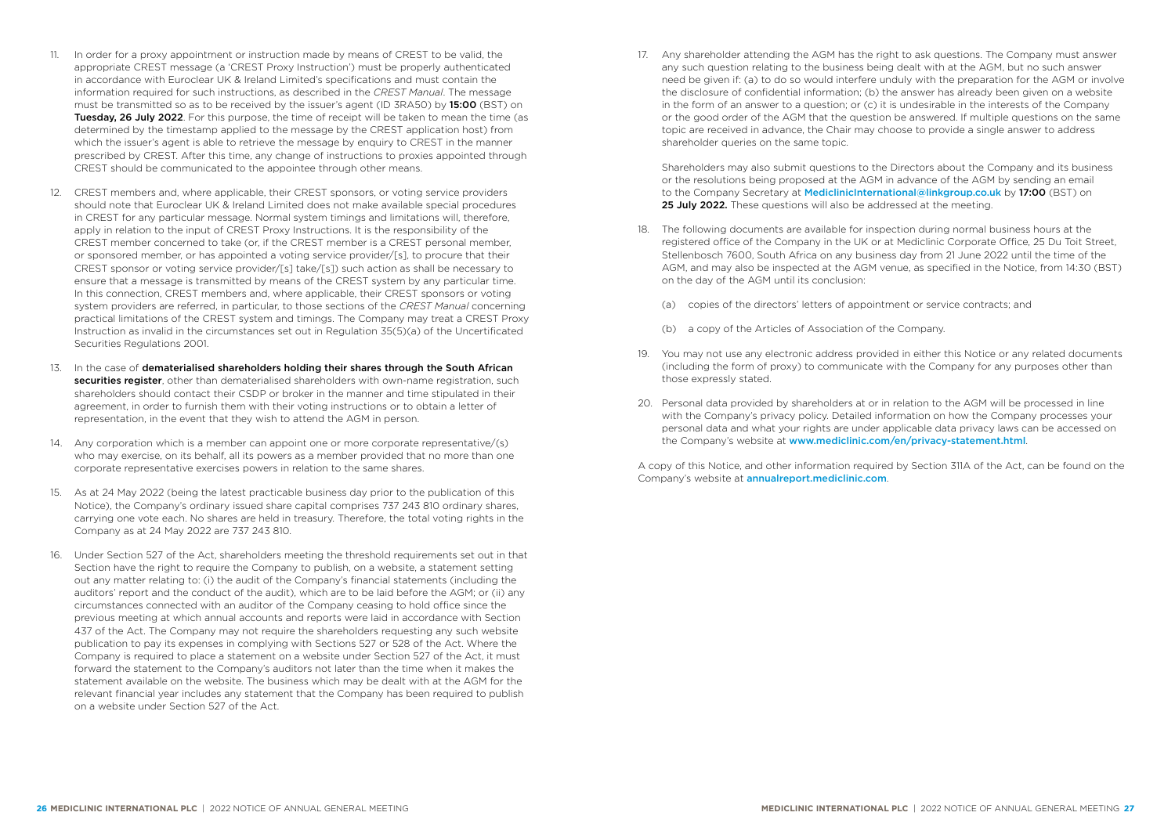- 11. In order for a proxy appointment or instruction made by means of CREST to be valid, the appropriate CREST message (a 'CREST Proxy Instruction') must be properly authenticated in accordance with Euroclear UK & Ireland Limited's specifications and must contain the information required for such instructions, as described in the *CREST Manual*. The message must be transmitted so as to be received by the issuer's agent (ID 3RA50) by 15:00 (BST) on Tuesday, 26 July 2022. For this purpose, the time of receipt will be taken to mean the time (as determined by the timestamp applied to the message by the CREST application host) from which the issuer's agent is able to retrieve the message by enquiry to CREST in the manner prescribed by CREST. After this time, any change of instructions to proxies appointed through CREST should be communicated to the appointee through other means.
- 12. CREST members and, where applicable, their CREST sponsors, or voting service providers should note that Euroclear UK & Ireland Limited does not make available special procedures in CREST for any particular message. Normal system timings and limitations will, therefore, apply in relation to the input of CREST Proxy Instructions. It is the responsibility of the CREST member concerned to take (or, if the CREST member is a CREST personal member, or sponsored member, or has appointed a voting service provider/[s], to procure that their CREST sponsor or voting service provider/[s] take/[s]) such action as shall be necessary to ensure that a message is transmitted by means of the CREST system by any particular time. In this connection, CREST members and, where applicable, their CREST sponsors or voting system providers are referred, in particular, to those sections of the *CREST Manual* concerning practical limitations of the CREST system and timings. The Company may treat a CREST Proxy Instruction as invalid in the circumstances set out in Regulation 35(5)(a) of the Uncertificated Securities Regulations 2001.
- 13. In the case of dematerialised shareholders holding their shares through the South African securities register, other than dematerialised shareholders with own-name registration, such shareholders should contact their CSDP or broker in the manner and time stipulated in their agreement, in order to furnish them with their voting instructions or to obtain a letter of representation, in the event that they wish to attend the AGM in person.
- 14. Any corporation which is a member can appoint one or more corporate representative/(s) who may exercise, on its behalf, all its powers as a member provided that no more than one corporate representative exercises powers in relation to the same shares.
- 15. As at 24 May 2022 (being the latest practicable business day prior to the publication of this Notice), the Company's ordinary issued share capital comprises 737 243 810 ordinary shares, carrying one vote each. No shares are held in treasury. Therefore, the total voting rights in the Company as at 24 May 2022 are 737 243 810.
- 16. Under Section 527 of the Act, shareholders meeting the threshold requirements set out in that Section have the right to require the Company to publish, on a website, a statement setting out any matter relating to: (i) the audit of the Company's financial statements (including the auditors' report and the conduct of the audit), which are to be laid before the AGM; or (ii) any circumstances connected with an auditor of the Company ceasing to hold office since the previous meeting at which annual accounts and reports were laid in accordance with Section 437 of the Act. The Company may not require the shareholders requesting any such website publication to pay its expenses in complying with Sections 527 or 528 of the Act. Where the Company is required to place a statement on a website under Section 527 of the Act, it must forward the statement to the Company's auditors not later than the time when it makes the statement available on the website. The business which may be dealt with at the AGM for the relevant financial year includes any statement that the Company has been required to publish on a website under Section 527 of the Act.

17. Any shareholder attending the AGM has the right to ask questions. The Company must answer any such question relating to the business being dealt with at the AGM, but no such answer need be given if: (a) to do so would interfere unduly with the preparation for the AGM or involve the disclosure of confidential information; (b) the answer has already been given on a website in the form of an answer to a question; or (c) it is undesirable in the interests of the Company or the good order of the AGM that the question be answered. If multiple questions on the same topic are received in advance, the Chair may choose to provide a single answer to address shareholder queries on the same topic.

Shareholders may also submit questions to the Directors about the Company and its business or the resolutions being proposed at the AGM in advance of the AGM by sending an email to the Company Secretary at [MediclinicInternational@linkgroup.co.uk](mailto:MediclinicInternational%40linkgroup.co.uk?subject=) by 17:00 (BST) on 25 July 2022. These questions will also be addressed at the meeting.

- 18. The following documents are available for inspection during normal business hours at the registered office of the Company in the UK or at Mediclinic Corporate Office, 25 Du Toit Street, Stellenbosch 7600, South Africa on any business day from 21 June 2022 until the time of the AGM, and may also be inspected at the AGM venue, as specified in the Notice, from 14:30 (BST) on the day of the AGM until its conclusion:
	- (a) copies of the directors' letters of appointment or service contracts; and
	- (b) a copy of the Articles of Association of the Company.
- 19. You may not use any electronic address provided in either this Notice or any related documents (including the form of proxy) to communicate with the Company for any purposes other than those expressly stated.
- 20. Personal data provided by shareholders at or in relation to the AGM will be processed in line with the Company's privacy policy. Detailed information on how the Company processes your personal data and what your rights are under applicable data privacy laws can be accessed on the Company's website at [www.mediclinic.com/en/privacy-statement.html](http://www.mediclinic.com/en/privacy-statement.html).

A copy of this Notice, and other information required by Section 311A of the Act, can be found on the Company's website at **[annualreport.mediclinic.com](https://annualreport.mediclinic.com)**.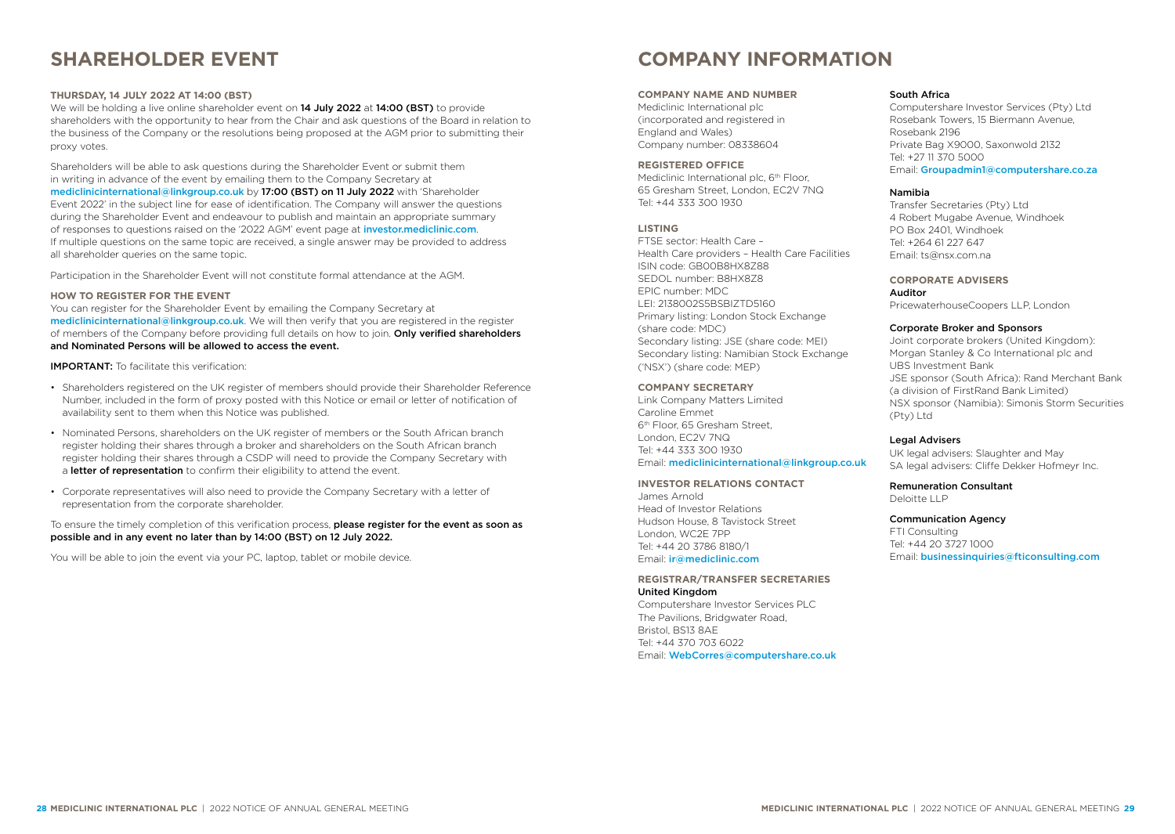# <span id="page-15-0"></span>**SHAREHOLDER EVENT**

# **THURSDAY, 14 JULY 2022 AT 14:00 (BST)**

We will be holding a live online shareholder event on **14 July 2022** at **14:00 (BST)** to provide shareholders with the opportunity to hear from the Chair and ask questions of the Board in relation to the business of the Company or the resolutions being proposed at the AGM prior to submitting their proxy votes.

Shareholders will be able to ask questions during the Shareholder Event or submit them in writing in advance of the event by emailing them to the Company Secretary at [mediclinicinternational@linkgroup.co.uk](mailto:mediclinicinternational%40linkgroup.co.uk?subject=) by 17:00 (BST) on 11 July 2022 with 'Shareholder Event 2022' in the subject line for ease of identification. The Company will answer the questions during the Shareholder Event and endeavour to publish and maintain an appropriate summary of responses to questions raised on the '2022 AGM' event page at [investor.mediclinic.com](https://investor.mediclinic.com). If multiple questions on the same topic are received, a single answer may be provided to address all shareholder queries on the same topic.

Participation in the Shareholder Event will not constitute formal attendance at the AGM.

### **HOW TO REGISTER FOR THE EVENT**

You can register for the Shareholder Event by emailing the Company Secretary at [mediclinicinternational@linkgroup.co.uk](mailto:mediclinicinternational%40linkgroup.co.uk?subject=). We will then verify that you are registered in the register of members of the Company before providing full details on how to join. Only verified shareholders and Nominated Persons will be allowed to access the event.

IMPORTANT: To facilitate this verification:

- Shareholders registered on the UK register of members should provide their Shareholder Reference Number, included in the form of proxy posted with this Notice or email or letter of notification of availability sent to them when this Notice was published.
- Nominated Persons, shareholders on the UK register of members or the South African branch register holding their shares through a broker and shareholders on the South African branch register holding their shares through a CSDP will need to provide the Company Secretary with a letter of representation to confirm their eligibility to attend the event.
- Corporate representatives will also need to provide the Company Secretary with a letter of representation from the corporate shareholder.

To ensure the timely completion of this verification process, please register for the event as soon as possible and in any event no later than by 14:00 (BST) on 12 July 2022.

You will be able to join the event via your PC, laptop, tablet or mobile device.

# **COMPANY INFORMATION**

### **COMPANY NAME AND NUMBER**

Mediclinic International plc (incorporated and registered in England and Wales) Company number: 08338604

# **REGISTERED OFFICE**

Mediclinic International plc, 6<sup>th</sup> Floor, 65 Gresham Street, London, EC2V 7NQ Tel: +44 333 300 1930

### **LISTING**

FTSE sector: Health Care – Health Care providers – Health Care Facilities ISIN code: GB00B8HX8Z88 SEDOL number: B8HX8Z8 EPIC number: MDC LEI: 2138002S5BSBIZTD5160 Primary listing: London Stock Exchange (share code: MDC) Secondary listing: JSE (share code: MEI) Secondary listing: Namibian Stock Exchange ('NSX') (share code: MEP)

# **COMPANY SECRETARY**

Link Company Matters Limited Caroline Emmet 6th Floor, 65 Gresham Street, London, EC2V 7NQ Tel: +44 333 300 1930 Email: [mediclinicinternational@linkgroup.co.uk](mailto:mediclinicinternational%40linkgroup.co.uk%20?subject=) 

# **INVESTOR RELATIONS CONTACT**

James Arnold Head of Investor Relations Hudson House, 8 Tavistock Street London, WC2E 7PP Tel: +44 20 3786 8180/1 Email: [ir@mediclinic.com](mailto:ir%40mediclinic.com?subject=)

# **REGISTRAR/TRANSFER SECRETARIES** United Kingdom

Computershare Investor Services PLC The Pavilions, Bridgwater Road, Bristol, BS13 8AE Tel: +44 370 703 6022 Email: [WebCorres@computershare.co.uk](mailto:WebCorres%40computershare.co.uk?subject=)

### South Africa

Computershare Investor Services (Pty) Ltd Rosebank Towers, 15 Biermann Avenue, Rosebank 2196 Private Bag X9000, Saxonwold 2132 Tel: +27 11 370 5000 Email: [Groupadmin1@computershare.co.za](mailto:Groupadmin1%40computershare.co.za?subject=)

### Namibia

Transfer Secretaries (Pty) Ltd 4 Robert Mugabe Avenue, Windhoek PO Box 2401, Windhoek Tel: +264 61 227 647 Email: [ts@nsx.com.na](mailto:ts%40nsx.com.na?subject=)

# **CORPORATE ADVISERS**

Auditor PricewaterhouseCoopers LLP, London

### Corporate Broker and Sponsors

Joint corporate brokers (United Kingdom): Morgan Stanley & Co International plc and UBS Investment Bank JSE sponsor (South Africa): Rand Merchant Bank (a division of FirstRand Bank Limited) NSX sponsor (Namibia): Simonis Storm Securities (Pty) Ltd

### Legal Advisers

UK legal advisers: Slaughter and May SA legal advisers: Cliffe Dekker Hofmeyr Inc.

# Remuneration Consultant

Deloitte LLP

# Communication Agency

FTI Consulting Tel: +44 20 3727 1000 Email: [businessinquiries@fticonsulting.com](mailto:businessinquiries%40fticonsulting.com?subject=)